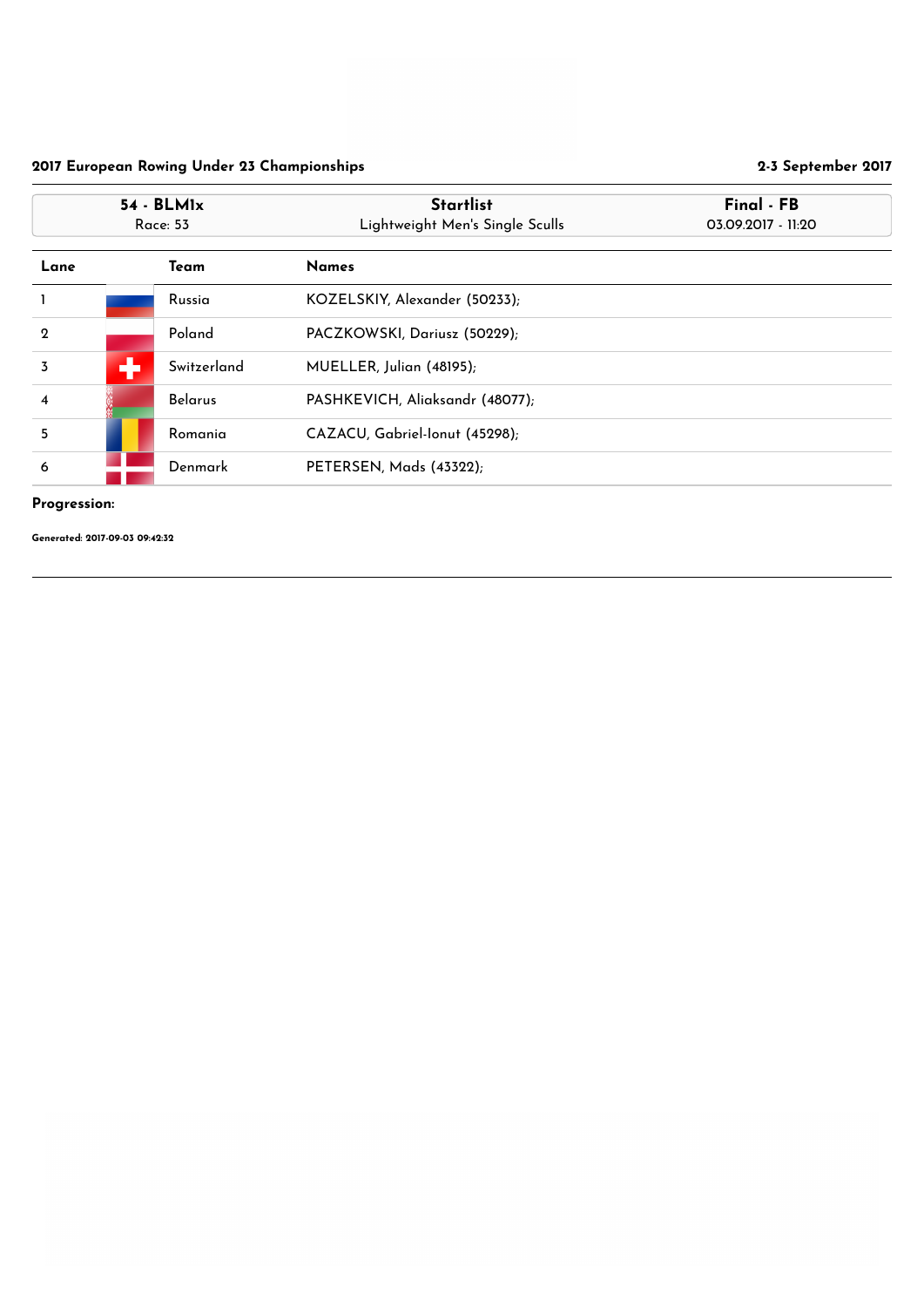## Progression:

|                         | $54 - BLM1x$<br><b>Race: 53</b> |                | <b>Startlist</b><br>Lightweight Men's Single Sculls | Final - FB<br>03.09.2017 - 11:20 |
|-------------------------|---------------------------------|----------------|-----------------------------------------------------|----------------------------------|
| Lane                    |                                 | Team           | <b>Names</b>                                        |                                  |
|                         |                                 | Russia         | KOZELSKIY, Alexander (50233);                       |                                  |
| $\overline{2}$          |                                 | Poland         | PACZKOWSKI, Dariusz (50229);                        |                                  |
| $\overline{3}$          | ÷                               | Switzerland    | MUELLER, Julian (48195);                            |                                  |
| $\overline{\mathbf{4}}$ |                                 | <b>Belarus</b> | PASHKEVICH, Aliaksandr (48077);                     |                                  |
| 5                       |                                 | Romania        | CAZACU, Gabriel-Ionut (45298);                      |                                  |
| 6                       |                                 | Denmark        | PETERSEN, Mads (43322);                             |                                  |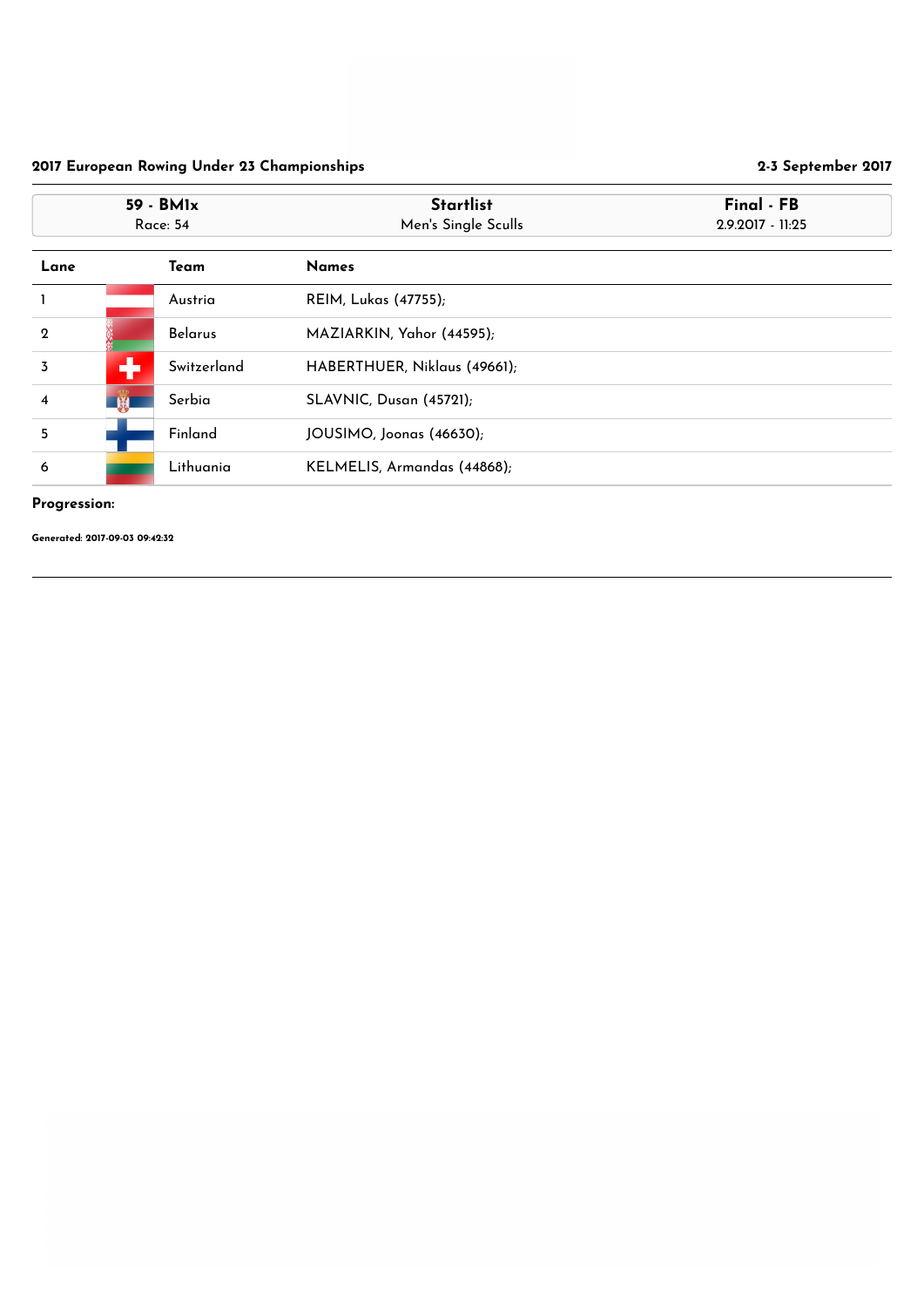## Progression:

|                         | 59 - BMIx<br><b>Race: 54</b> |                | <b>Startlist</b><br>Men's Single Sculls | Final - FB<br>2.9.2017 - 11:25 |
|-------------------------|------------------------------|----------------|-----------------------------------------|--------------------------------|
| Lane                    |                              | Team           | <b>Names</b>                            |                                |
| $\mathbf{I}$            |                              | Austria        | <b>REIM, Lukas (47755);</b>             |                                |
| $\boldsymbol{2}$        |                              | <b>Belarus</b> | MAZIARKIN, Yahor (44595);               |                                |
| $\overline{3}$          | ÷                            | Switzerland    | HABERTHUER, Niklaus (49661);            |                                |
| $\overline{\mathbf{4}}$ | $\mathbb{R}$                 | Serbia         | <b>SLAVNIC, Dusan (45721);</b>          |                                |
| 5                       |                              | Finland        | JOUSIMO, Joonas (46630);                |                                |
| 6                       |                              | Lithuania      | KELMELIS, Armandas (44868);             |                                |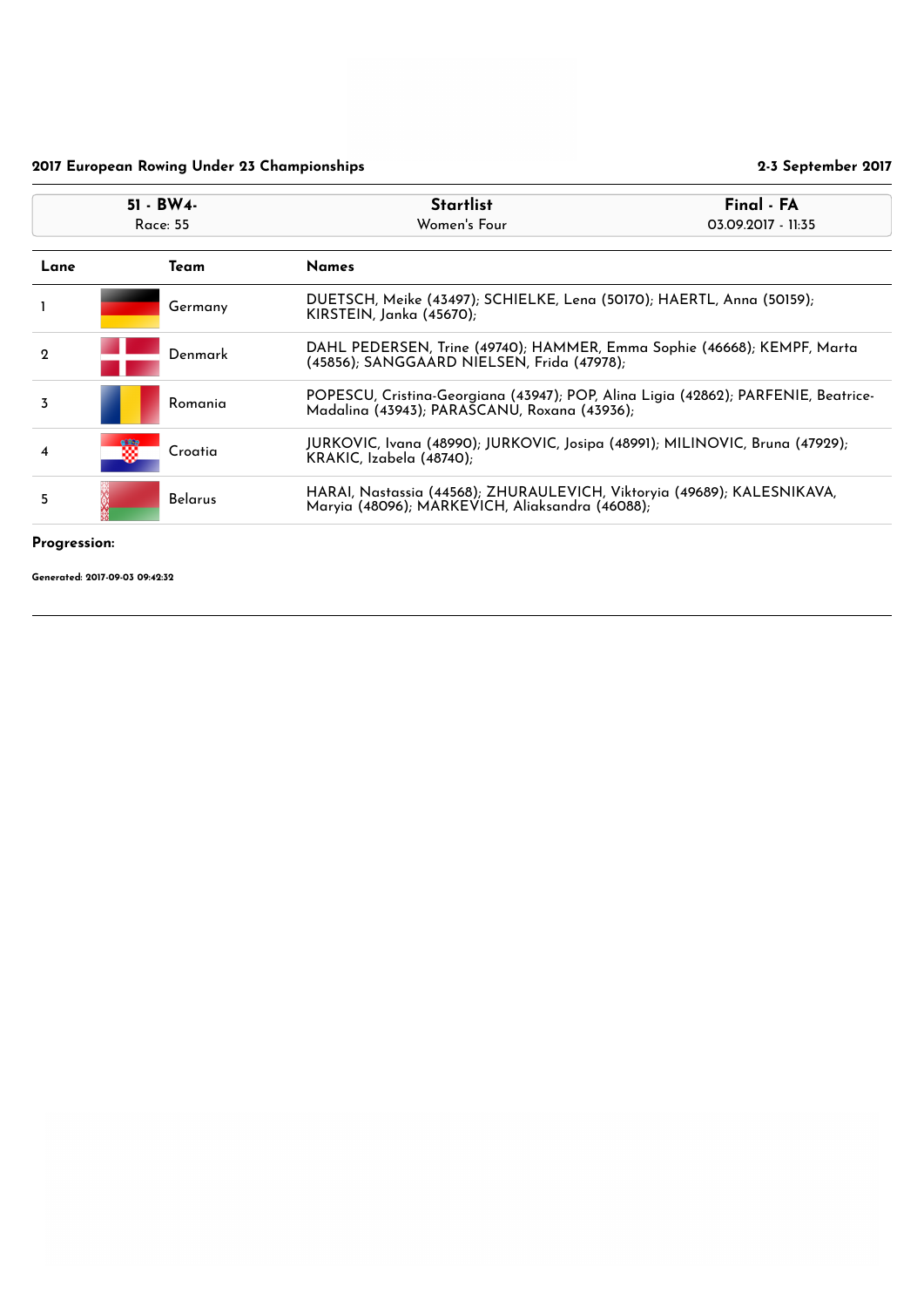#### Progression:

|                              | 51 - BW4-<br><b>Race: 55</b> |                | <b>Startlist</b><br>Women's Four                                                                                                   | Final - FA<br>03.09.2017 - 11:35 |
|------------------------------|------------------------------|----------------|------------------------------------------------------------------------------------------------------------------------------------|----------------------------------|
| Lane<br>Team<br><b>Names</b> |                              |                |                                                                                                                                    |                                  |
|                              |                              | Germany        | DUETSCH, Meike (43497); SCHIELKE, Lena (50170); HAERTL, Anna (50159);<br>KIRSTEIN, Janka (45670);                                  |                                  |
| $\mathbf 2$                  |                              | Denmark        | DAHL PEDERSEN, Trine (49740); HAMMER, Emma Sophie (46668); KEMPF, Marta<br>(45856); SANGGAARD NIELSEN, Frida (47978);              |                                  |
| $\overline{3}$               |                              | Romania        | POPESCU, Cristina-Georgiana (43947); POP, Alina Ligia (42862); PARFENIE, Beatrice-<br>Madalina (43943); PARASCANU, Roxana (43936); |                                  |
| 4                            | m                            | Croatia        | JURKOVIC, Ivana (48990); JURKOVIC, Josipa (48991); MILINOVIC, Bruna (47929);<br>KRAKIC, Izabela (48740);                           |                                  |
| 5                            |                              | <b>Belarus</b> | HARAI, Nastassia (44568); ZHURAULEVICH, Viktoryia (49689); KALESNIKAVA,<br>Maryia (48096); MARKEVICH, Aliaksandra (46088);         |                                  |
|                              |                              |                |                                                                                                                                    |                                  |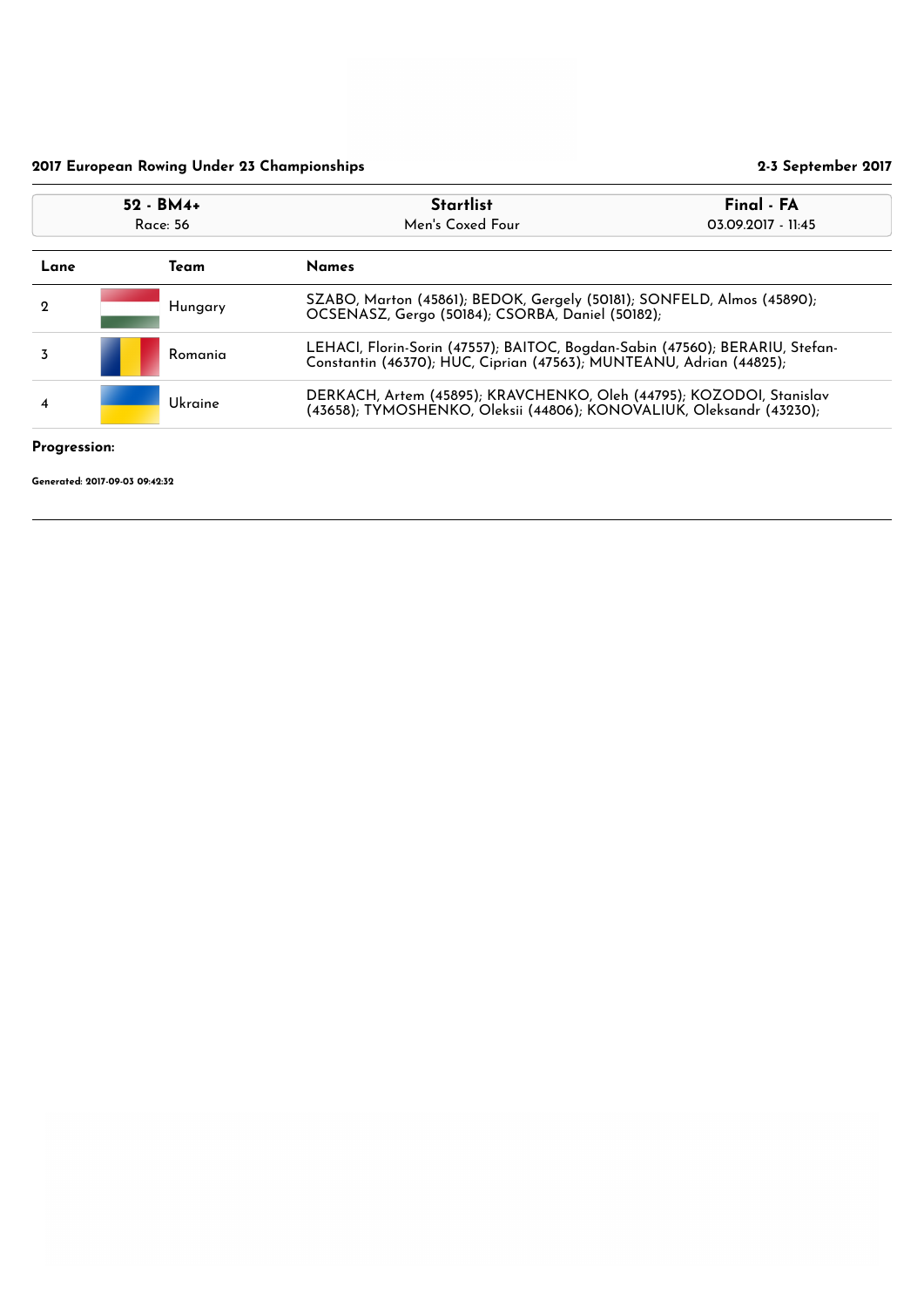## Progression:

| $52 - BM4 +$<br>Race: 56 |                      |         | Final - FA<br><b>Startlist</b><br>Men's Coxed Four<br>03.09.2017 - 11:45                                                                            |  |
|--------------------------|----------------------|---------|-----------------------------------------------------------------------------------------------------------------------------------------------------|--|
| Lane                     | <b>Names</b><br>Team |         |                                                                                                                                                     |  |
| $\mathbf 2$              |                      | Hungary | SZABO, Marton (45861); BEDOK, Gergely (50181); SONFELD, Almos (45890);<br>OCSENASZ, Gergo (50184); CSORBA, Daniel (50182);                          |  |
| 3                        |                      | Romania | LEHACI, Florin-Sorin (47557); BAITOC, Bogdan-Sabin (47560); BERARIU, Stefan-<br>Constantin (46370); HUC, Ciprian (47563); MUNTEANU, Adrian (44825); |  |
| $\overline{\bf{4}}$      |                      | Ukraine | DERKACH, Artem (45895); KRAVCHENKO, Oleh (44795); KOZODOI, Stanislav<br>(43658); TYMOSHENKO, Oleksii (44806); KONOVALIUK, Oleksandr (43230);        |  |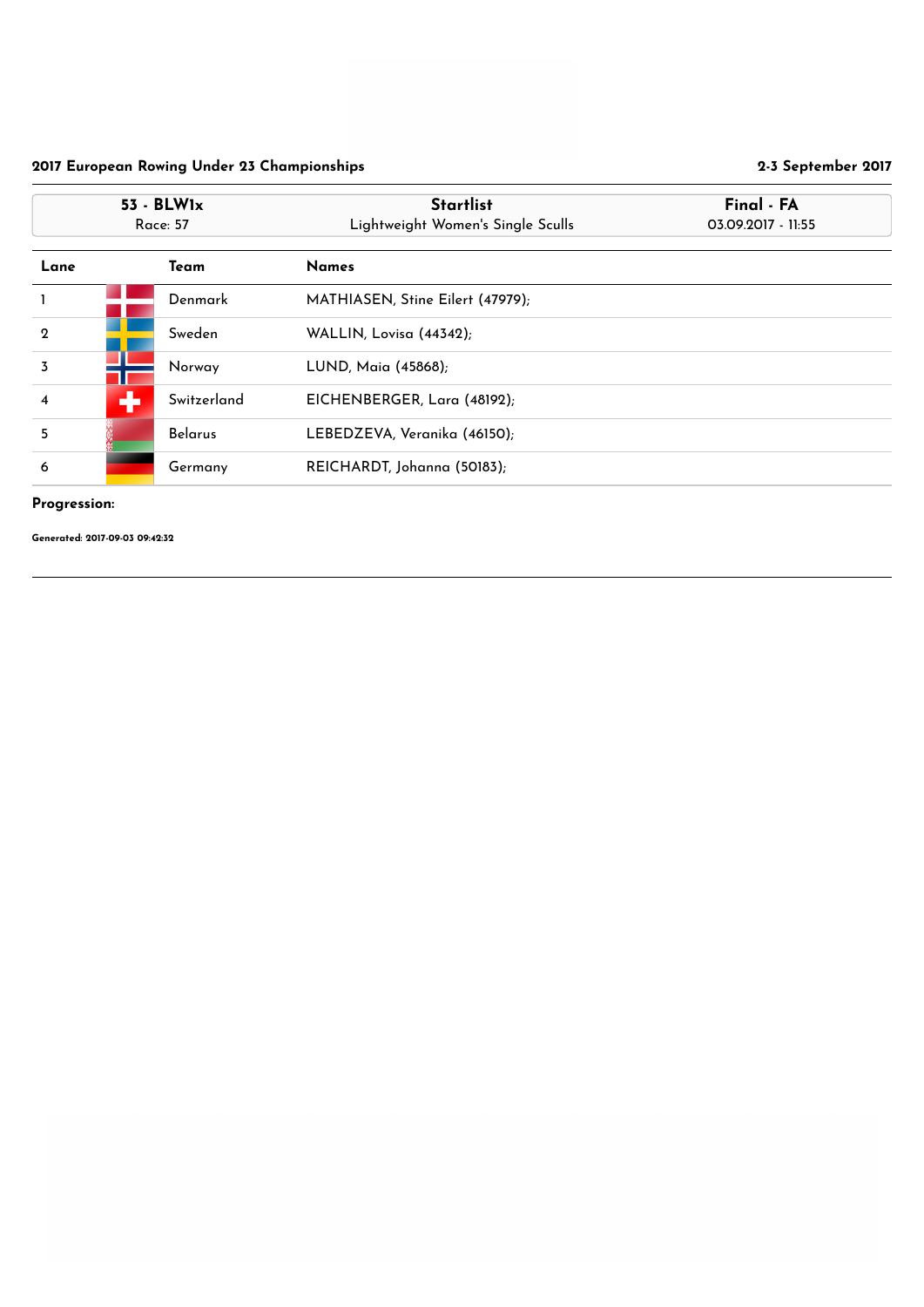## Progression:

|                         | $53 - BLW1x$<br><b>Race: 57</b> | <b>Startlist</b><br>Lightweight Women's Single Sculls | Final - FA<br>03.09.2017 - 11:55 |
|-------------------------|---------------------------------|-------------------------------------------------------|----------------------------------|
| Lane                    | Team                            | <b>Names</b>                                          |                                  |
|                         | Denmark                         | MATHIASEN, Stine Eilert (47979);                      |                                  |
| $\mathbf 2$             | Sweden                          | WALLIN, Lovisa (44342);                               |                                  |
| $\overline{3}$          | Norway                          | LUND, Maia (45868);                                   |                                  |
| $\overline{\mathbf{4}}$ | ÷<br>Switzerland                | EICHENBERGER, Lara (48192);                           |                                  |
| 5                       | <b>Belarus</b>                  | LEBEDZEVA, Veranika (46150);                          |                                  |
| 6                       | Germany                         | REICHARDT, Johanna (50183);                           |                                  |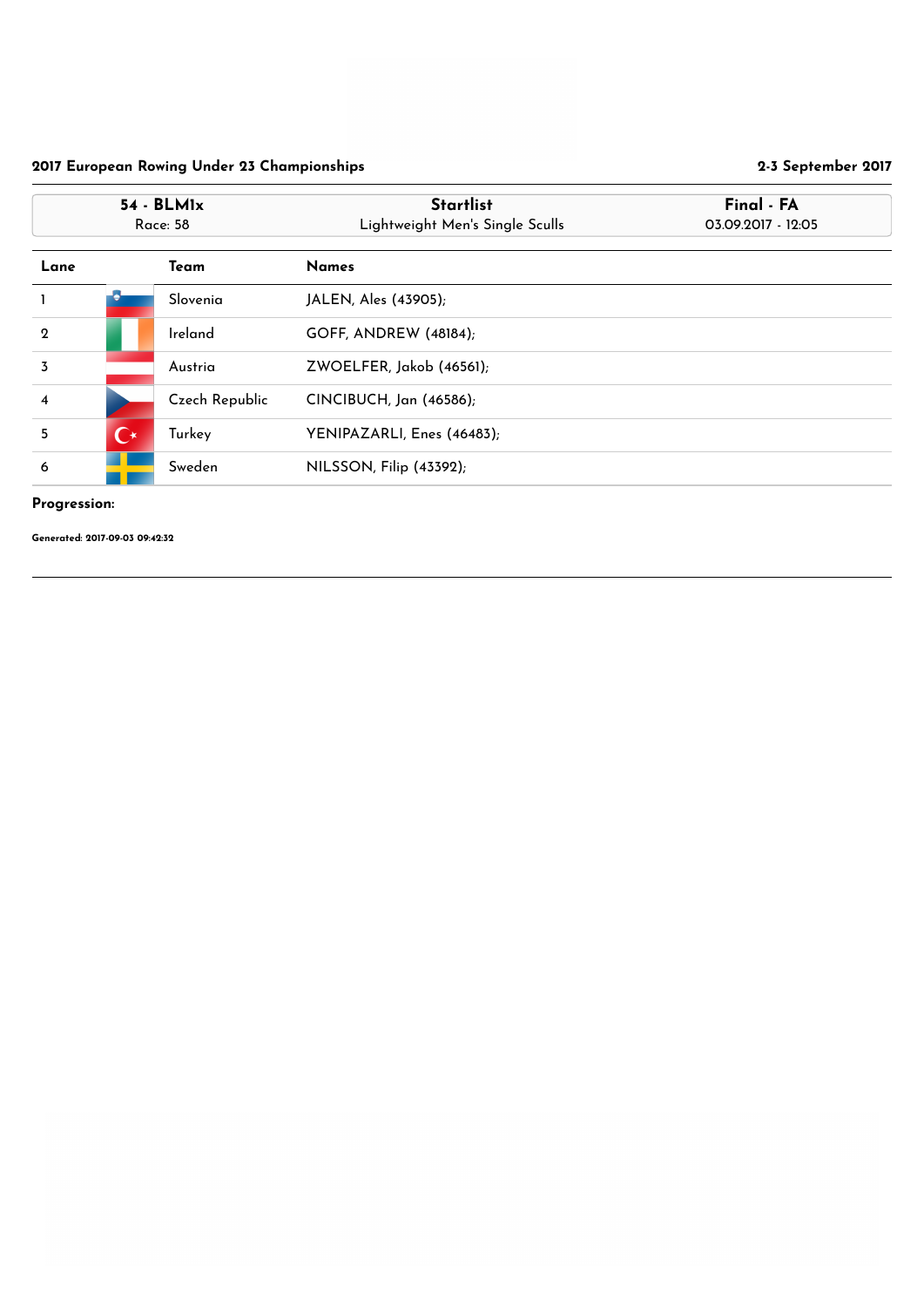## Progression:

|                         | $54 - BLM1x$<br><b>Race: 58</b> |                       | <b>Startlist</b><br>Lightweight Men's Single Sculls | Final - FA<br>03.09.2017 - 12:05 |
|-------------------------|---------------------------------|-----------------------|-----------------------------------------------------|----------------------------------|
| Lane                    |                                 | Team                  | <b>Names</b>                                        |                                  |
|                         |                                 | Slovenia              | JALEN, Ales (43905);                                |                                  |
| $\overline{2}$          |                                 | Ireland               | <b>GOFF, ANDREW (48184);</b>                        |                                  |
| $\overline{3}$          |                                 | Austria               | ZWOELFER, Jakob (46561);                            |                                  |
| $\overline{\mathbf{4}}$ |                                 | <b>Czech Republic</b> | CINCIBUCH, Jan (46586);                             |                                  |
| 5                       | $\mathbf{C}^{\star}$            | Turkey                | YENIPAZARLI, Enes (46483);                          |                                  |
| 6                       |                                 | Sweden                | NILSSON, Filip (43392);                             |                                  |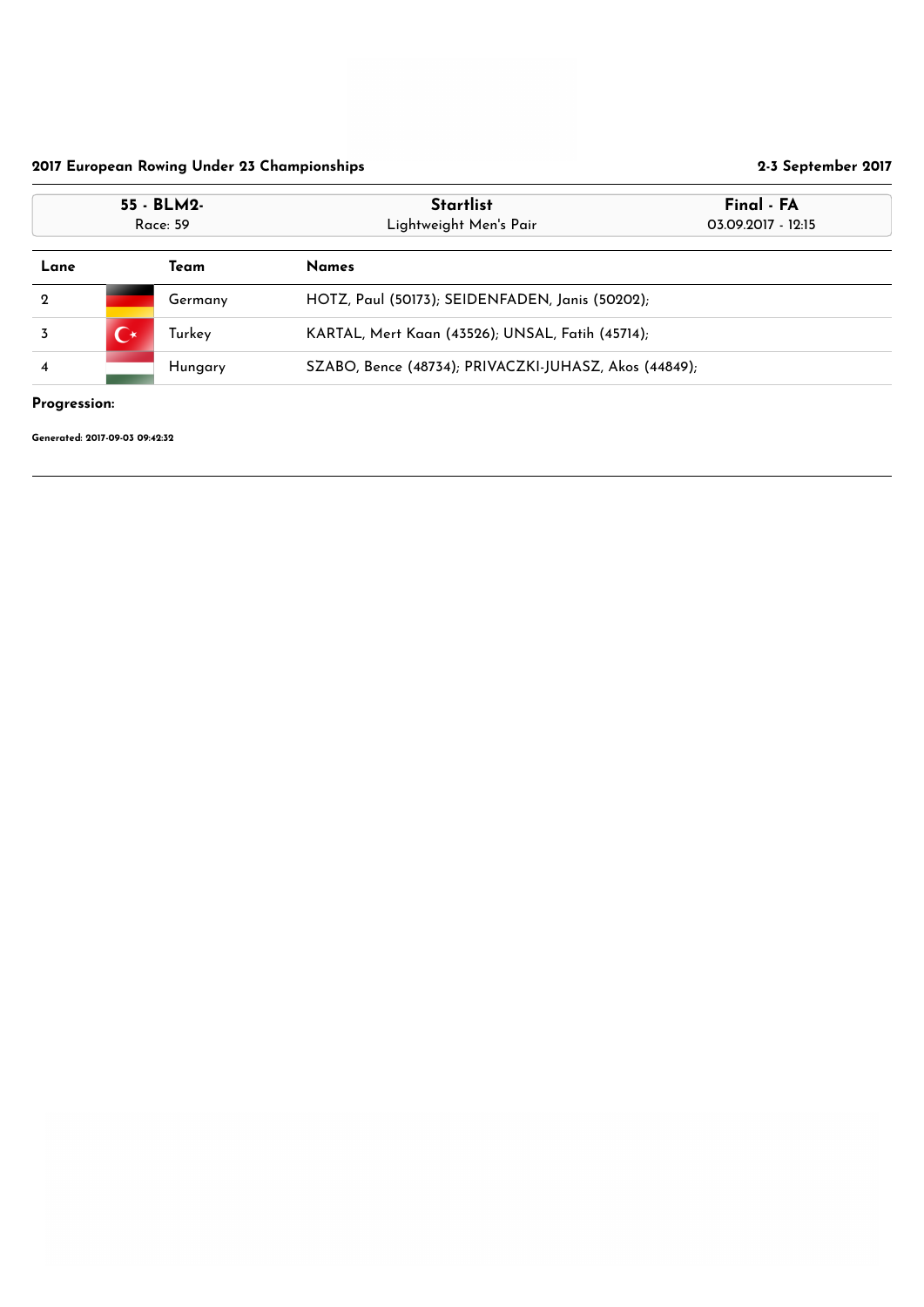## Progression:

|                | 55 - BLM2-<br>Race: 59 |         | <b>Startlist</b><br>Lightweight Men's Pair            | Final - FA<br>03.09.2017 - 12:15 |
|----------------|------------------------|---------|-------------------------------------------------------|----------------------------------|
| Lane           |                        | Team    | <b>Names</b>                                          |                                  |
| $\mathbf 2$    |                        | Germany | HOTZ, Paul (50173); SEIDENFADEN, Janis (50202);       |                                  |
| 3              | $\bf C^{\star}$        | Turkey  | KARTAL, Mert Kaan (43526); UNSAL, Fatih (45714);      |                                  |
| $\overline{4}$ | Hungary                |         | SZABO, Bence (48734); PRIVACZKI-JUHASZ, Akos (44849); |                                  |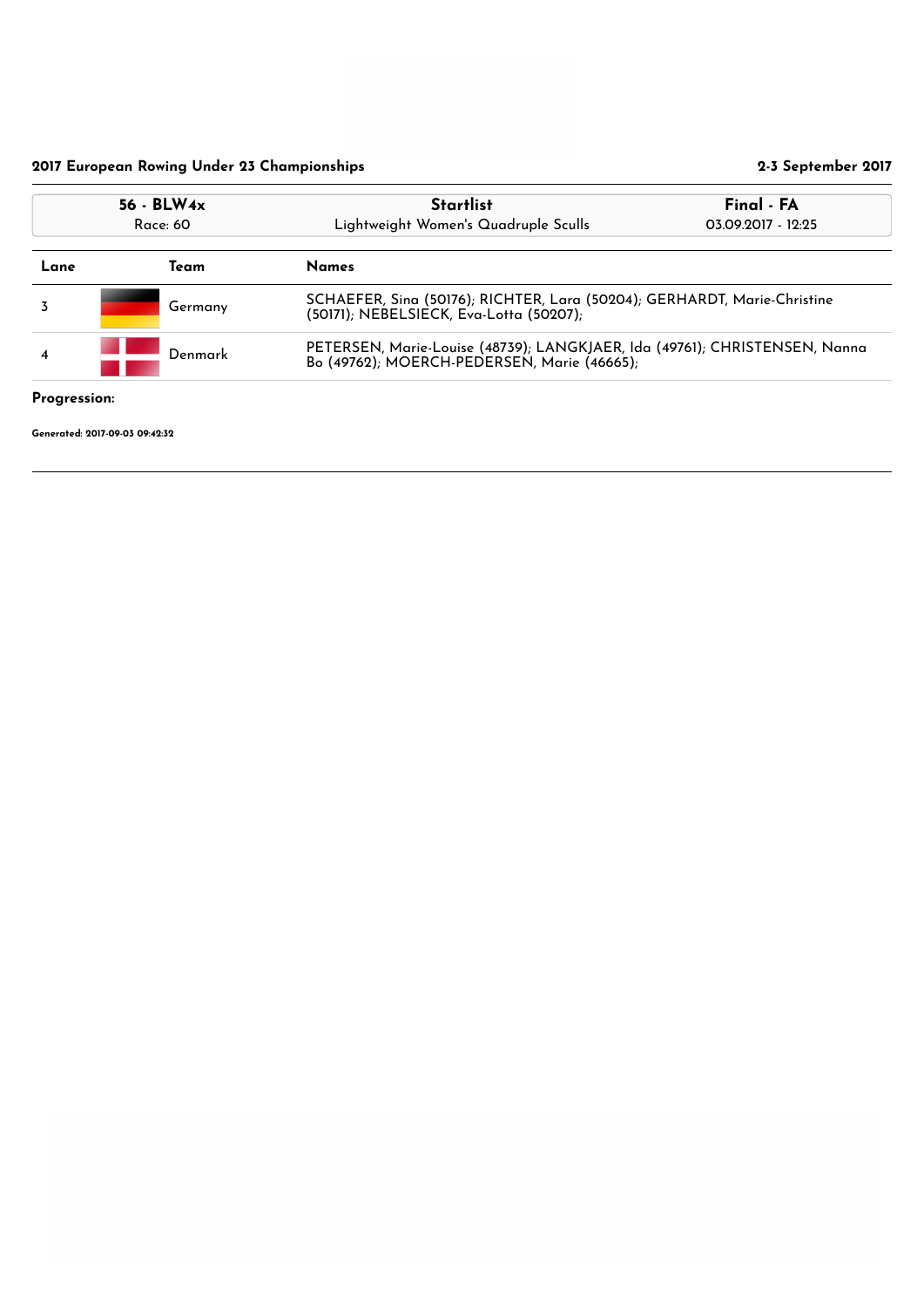|                     | $56 - BLW4x$<br>Race: 60                                                                                                       | <b>Startlist</b><br>Lightweight Women's Quadruple Sculls                                                                  | Final - FA<br>03.09.2017 - 12:25 |  |
|---------------------|--------------------------------------------------------------------------------------------------------------------------------|---------------------------------------------------------------------------------------------------------------------------|----------------------------------|--|
| Team<br>Lane        |                                                                                                                                | <b>Names</b>                                                                                                              |                                  |  |
|                     | SCHAEFER, Sina (50176); RICHTER, Lara (50204); GERHARDT, Marie-Christine<br>Germany<br>(50171); NEBELSIECK, Eva-Lotta (50207); |                                                                                                                           |                                  |  |
| 4                   | Denmark                                                                                                                        | PETERSEN, Marie-Louise (48739); LANGKJAER, Ida (49761); CHRISTENSEN, Nanna<br>Bo (49762); MOERCH-PEDERSEN, Marie (46665); |                                  |  |
| <b>Progression:</b> |                                                                                                                                |                                                                                                                           |                                  |  |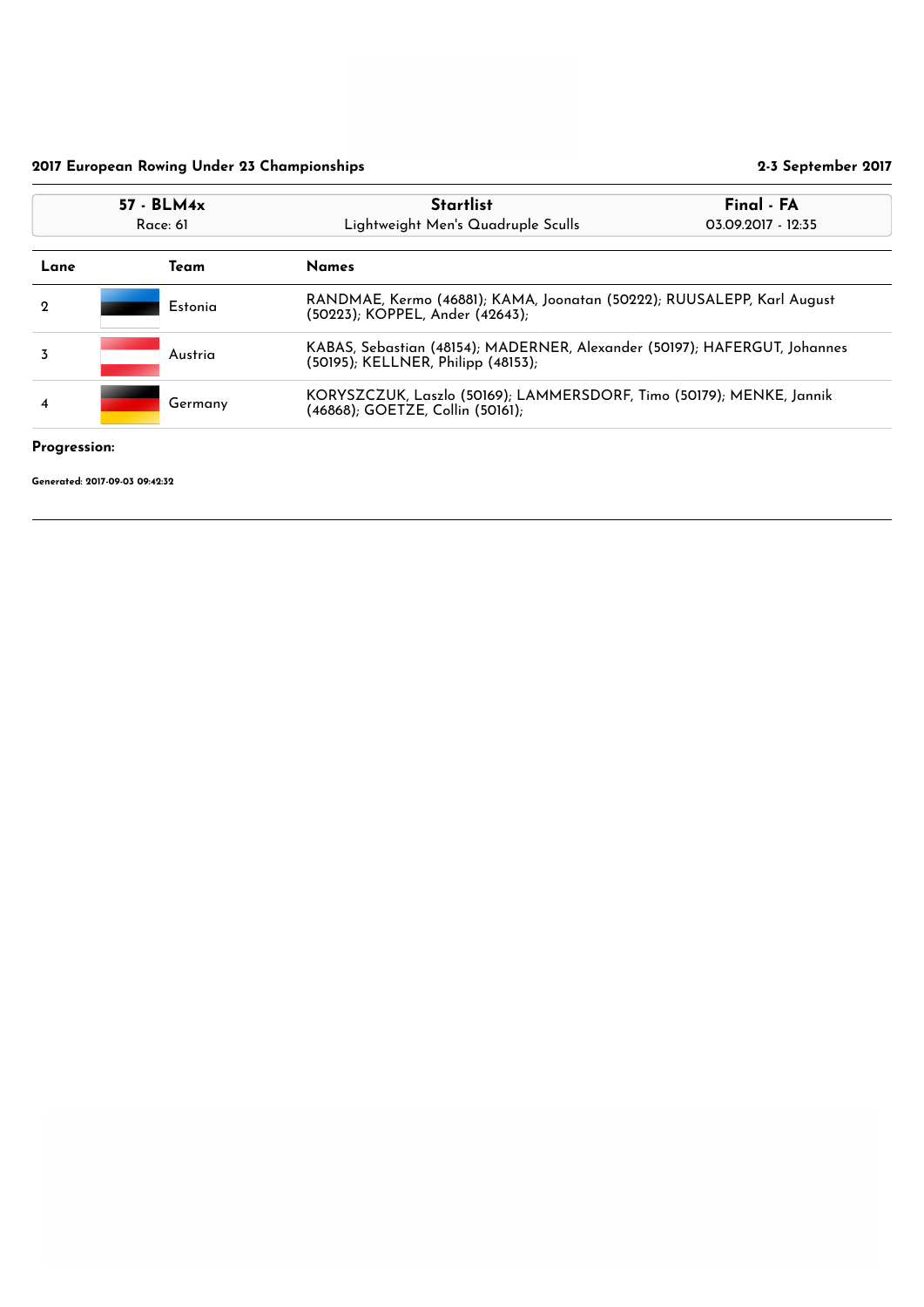## Progression:

|                                                               | $57 - BLM4x$<br>Race: 61 |                                                                      | <b>Startlist</b><br>Lightweight Men's Quadruple Sculls                                                          | Final - FA<br>03.09.2017 - 12:35 |
|---------------------------------------------------------------|--------------------------|----------------------------------------------------------------------|-----------------------------------------------------------------------------------------------------------------|----------------------------------|
| Lane                                                          | Team                     |                                                                      | <b>Names</b>                                                                                                    |                                  |
| $\mathbf 2$                                                   |                          | Estonia                                                              | RANDMAE, Kermo (46881); KAMA, Joonatan (50222); RUUSALEPP, Karl August<br>(50223); KOPPEL, Ander (42643);       |                                  |
| 3                                                             |                          | Austria                                                              | KABAS, Sebastian (48154); MADERNER, Alexander (50197); HAFERGUT, Johannes<br>(50195); KELLNER, Philipp (48153); |                                  |
| Germany<br>$\overline{4}$<br>(46868); GOETZE, Collin (50161); |                          | KORYSZCZUK, Laszlo (50169); LAMMERSDORF, Timo (50179); MENKE, Jannik |                                                                                                                 |                                  |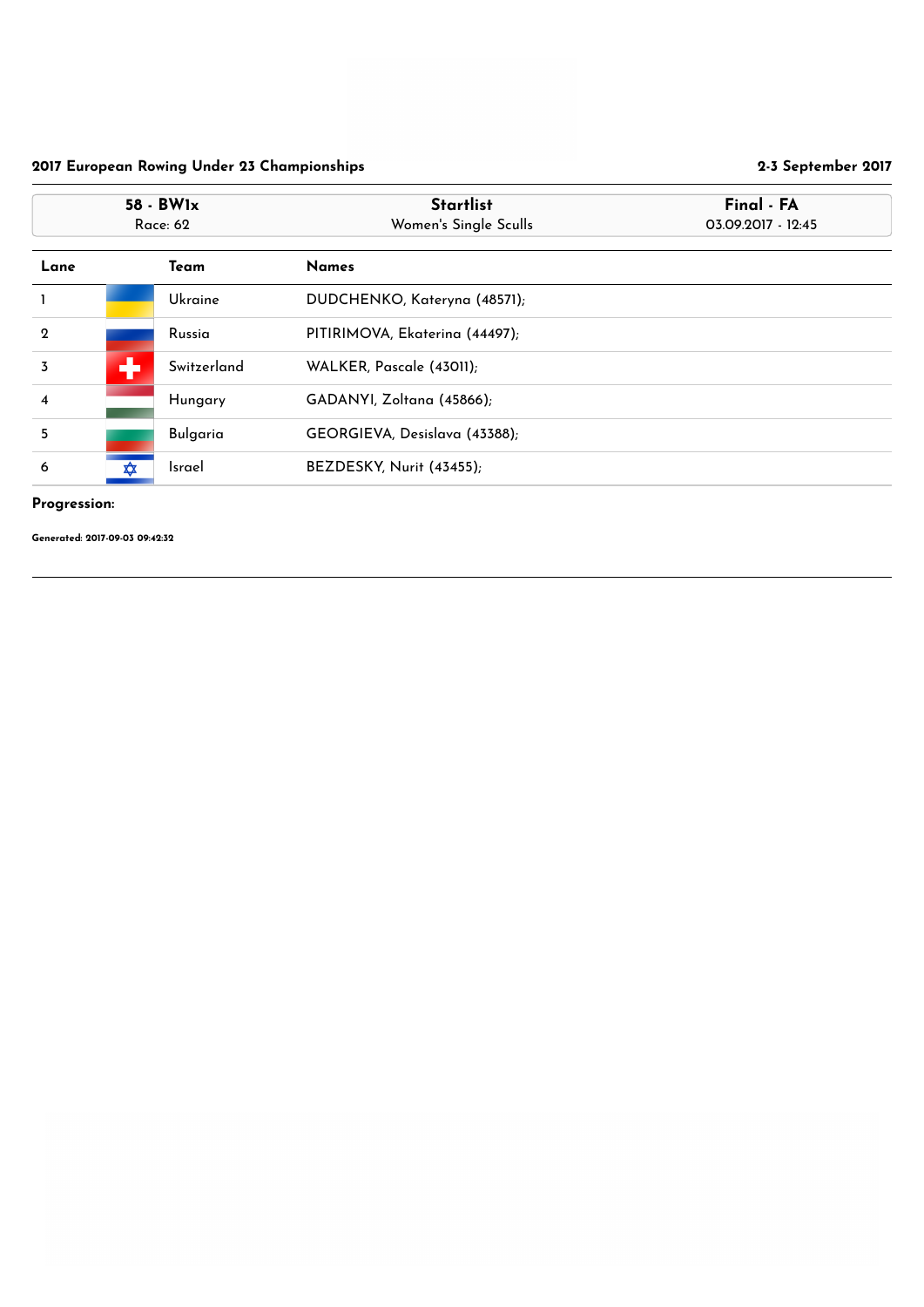## Progression:

|                  | 58 - BW1x<br><b>Race: 62</b> |                 | <b>Startlist</b><br>Women's Single Sculls | Final - FA<br>03.09.2017 - 12:45 |
|------------------|------------------------------|-----------------|-------------------------------------------|----------------------------------|
| Lane             |                              | Team            | <b>Names</b>                              |                                  |
|                  |                              | Ukraine         | DUDCHENKO, Kateryna (48571);              |                                  |
| $\mathbf 2$      |                              | Russia          | PITIRIMOVA, Ekaterina (44497);            |                                  |
| $\overline{3}$   | ╋                            | Switzerland     | WALKER, Pascale (43011);                  |                                  |
| $\boldsymbol{4}$ |                              | Hungary         | GADANYI, Zoltana (45866);                 |                                  |
| 5                |                              | <b>Bulgaria</b> | GEORGIEVA, Desislava (43388);             |                                  |
| 6                | ✿                            | <b>Israel</b>   | BEZDESKY, Nurit (43455);                  |                                  |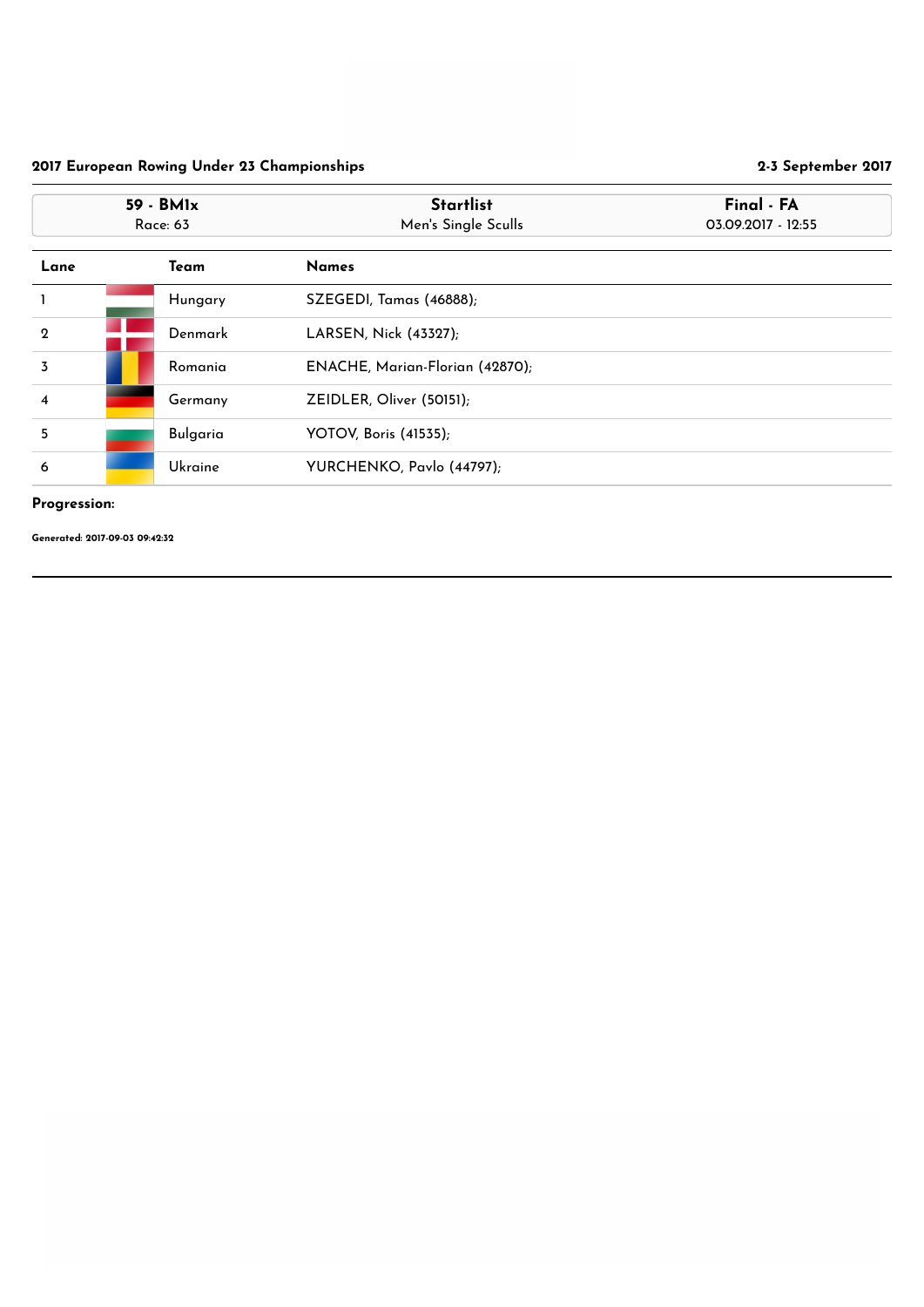## Progression:

|                  | 59 - BM1x<br><b>Race: 63</b> |                 | <b>Startlist</b><br>Men's Single Sculls | Final - FA<br>03.09.2017 - 12:55 |
|------------------|------------------------------|-----------------|-----------------------------------------|----------------------------------|
| Lane             |                              | <b>Team</b>     | <b>Names</b>                            |                                  |
|                  |                              | Hungary         | SZEGEDI, Tamas (46888);                 |                                  |
| $\boldsymbol{2}$ |                              | Denmark         | LARSEN, Nick (43327);                   |                                  |
| $\overline{3}$   |                              | Romania         | ENACHE, Marian-Florian (42870);         |                                  |
| $\boldsymbol{4}$ |                              | Germany         | ZEIDLER, Oliver (50151);                |                                  |
| 5                |                              | <b>Bulgaria</b> | <b>YOTOV, Boris (41535);</b>            |                                  |
| 6                |                              | Ukraine         | YURCHENKO, Pavlo (44797);               |                                  |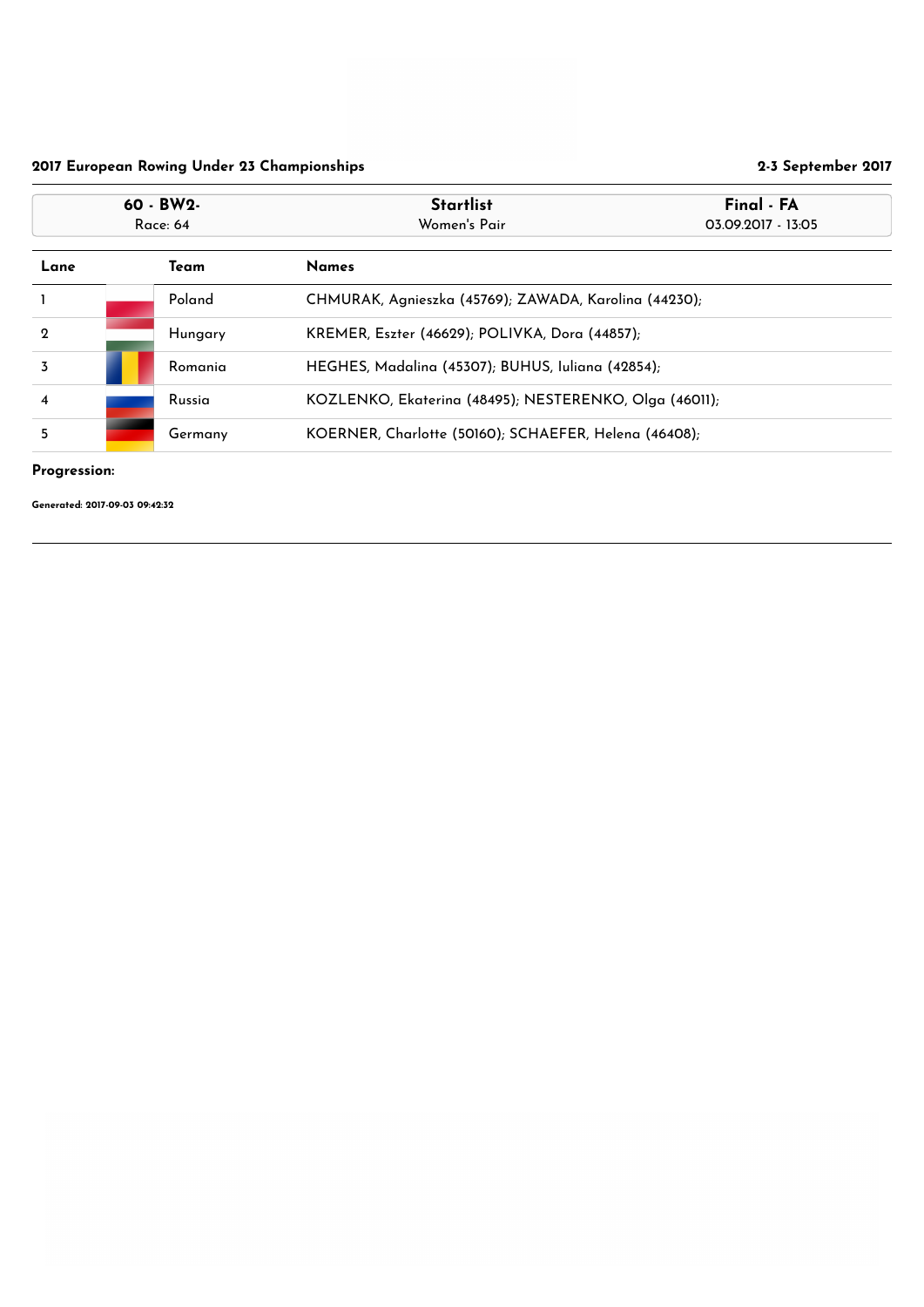## Progression:

|                              | 60 - BW2-<br><b>Race: 64</b> |         | <b>Startlist</b><br>Final - FA<br>Women's Pair<br>03.09.2017 - 13:05 |                                                |  |
|------------------------------|------------------------------|---------|----------------------------------------------------------------------|------------------------------------------------|--|
| <b>Names</b><br>Team<br>Lane |                              |         |                                                                      |                                                |  |
|                              |                              | Poland  | CHMURAK, Agnieszka (45769); ZAWADA, Karolina (44230);                |                                                |  |
| $\mathbf{2}$                 |                              | Hungary |                                                                      | KREMER, Eszter (46629); POLIVKA, Dora (44857); |  |
| 3                            |                              | Romania | HEGHES, Madalina (45307); BUHUS, Iuliana (42854);                    |                                                |  |
| $\overline{\mathbf{4}}$      |                              | Russia  | KOZLENKO, Ekaterina (48495); NESTERENKO, Olga (46011);               |                                                |  |
| 5                            |                              | Germany | KOERNER, Charlotte (50160); SCHAEFER, Helena (46408);                |                                                |  |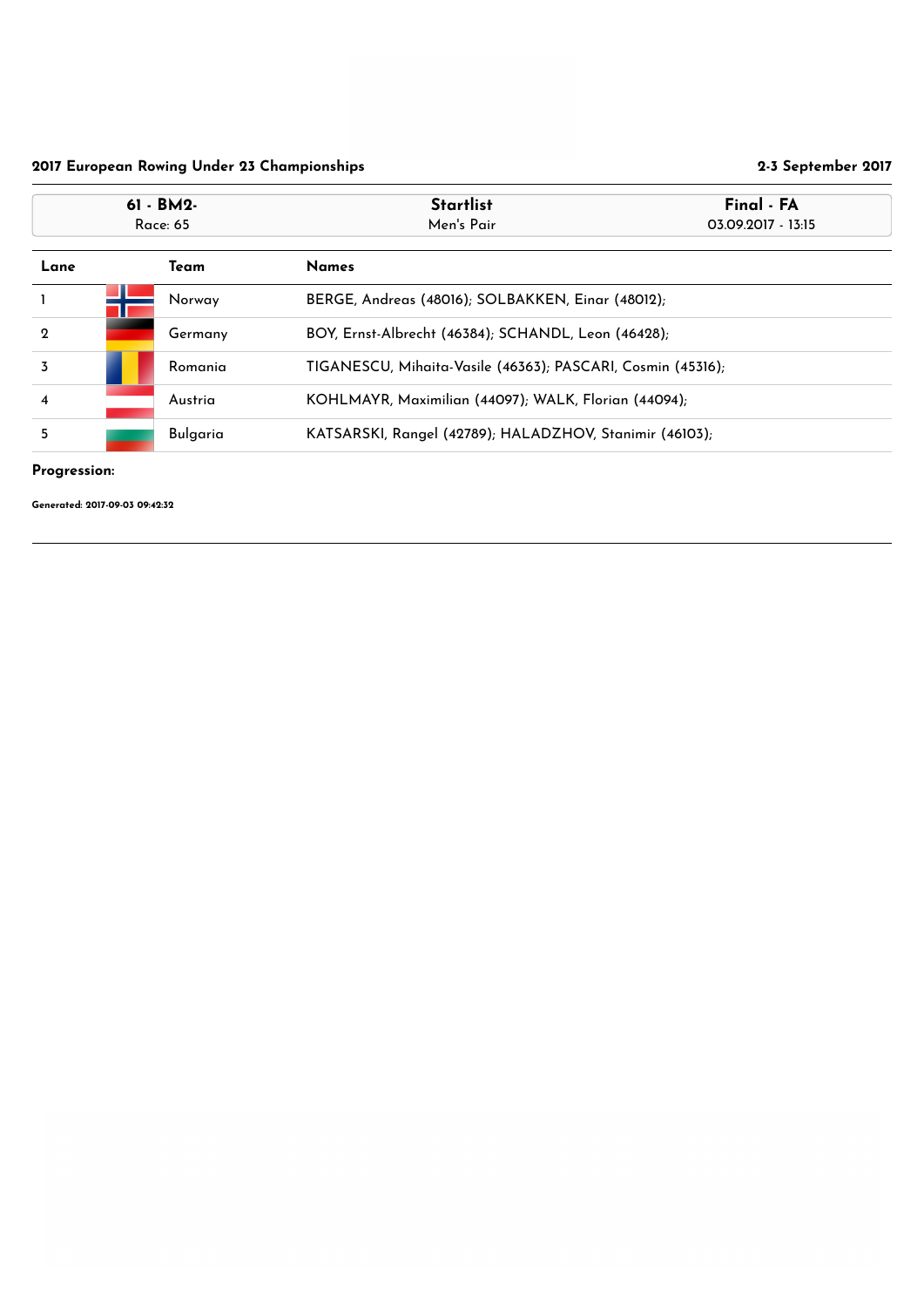## Progression:

| $61 - BM2 -$<br><b>Race: 65</b>     |  |                 | <b>Startlist</b><br>Men's Pair                              | Final - FA<br>03.09.2017 - 13:15 |
|-------------------------------------|--|-----------------|-------------------------------------------------------------|----------------------------------|
| <b>Team</b><br>Lane<br><b>Names</b> |  |                 |                                                             |                                  |
|                                     |  | Norway          | BERGE, Andreas (48016); SOLBAKKEN, Einar (48012);           |                                  |
| $\boldsymbol{2}$                    |  | Germany         | BOY, Ernst-Albrecht (46384); SCHANDL, Leon (46428);         |                                  |
| 3                                   |  | Romania         | TIGANESCU, Mihaita-Vasile (46363); PASCARI, Cosmin (45316); |                                  |
| $\overline{\mathbf{4}}$             |  | Austria         | KOHLMAYR, Maximilian (44097); WALK, Florian (44094);        |                                  |
| 5                                   |  | <b>Bulgaria</b> | KATSARSKI, Rangel (42789); HALADZHOV, Stanimir (46103);     |                                  |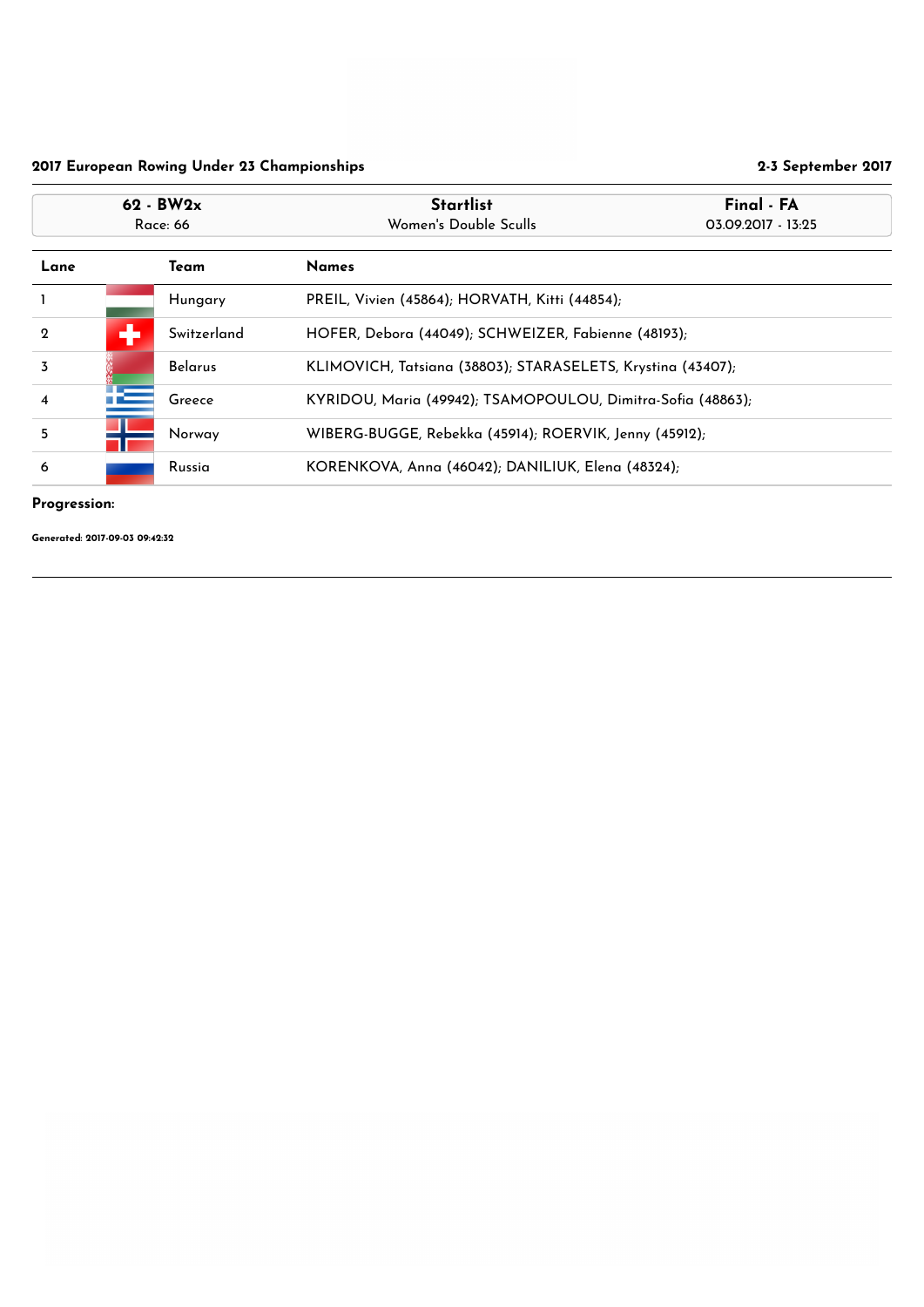## Progression:

|                              | $62 - BW2x$<br>Race: 66 |                | <b>Startlist</b><br>Final - FA<br>Women's Double Sculls<br>03.09.2017 - 13:25 |  |
|------------------------------|-------------------------|----------------|-------------------------------------------------------------------------------|--|
| Lane<br>Team<br><b>Names</b> |                         |                |                                                                               |  |
|                              |                         | Hungary        | PREIL, Vivien (45864); HORVATH, Kitti (44854);                                |  |
| $\overline{2}$               | ٠                       | Switzerland    | HOFER, Debora (44049); SCHWEIZER, Fabienne (48193);                           |  |
| $\overline{3}$               |                         | <b>Belarus</b> | KLIMOVICH, Tatsiana (38803); STARASELETS, Krystina (43407);                   |  |
| $\overline{\mathbf{4}}$      |                         | Greece         | KYRIDOU, Maria (49942); TSAMOPOULOU, Dimitra-Sofia (48863);                   |  |
| 5 <sup>5</sup>               |                         | Norway         | WIBERG-BUGGE, Rebekka (45914); ROERVIK, Jenny (45912);                        |  |
| 6                            |                         | Russia         | KORENKOVA, Anna (46042); DANILIUK, Elena (48324);                             |  |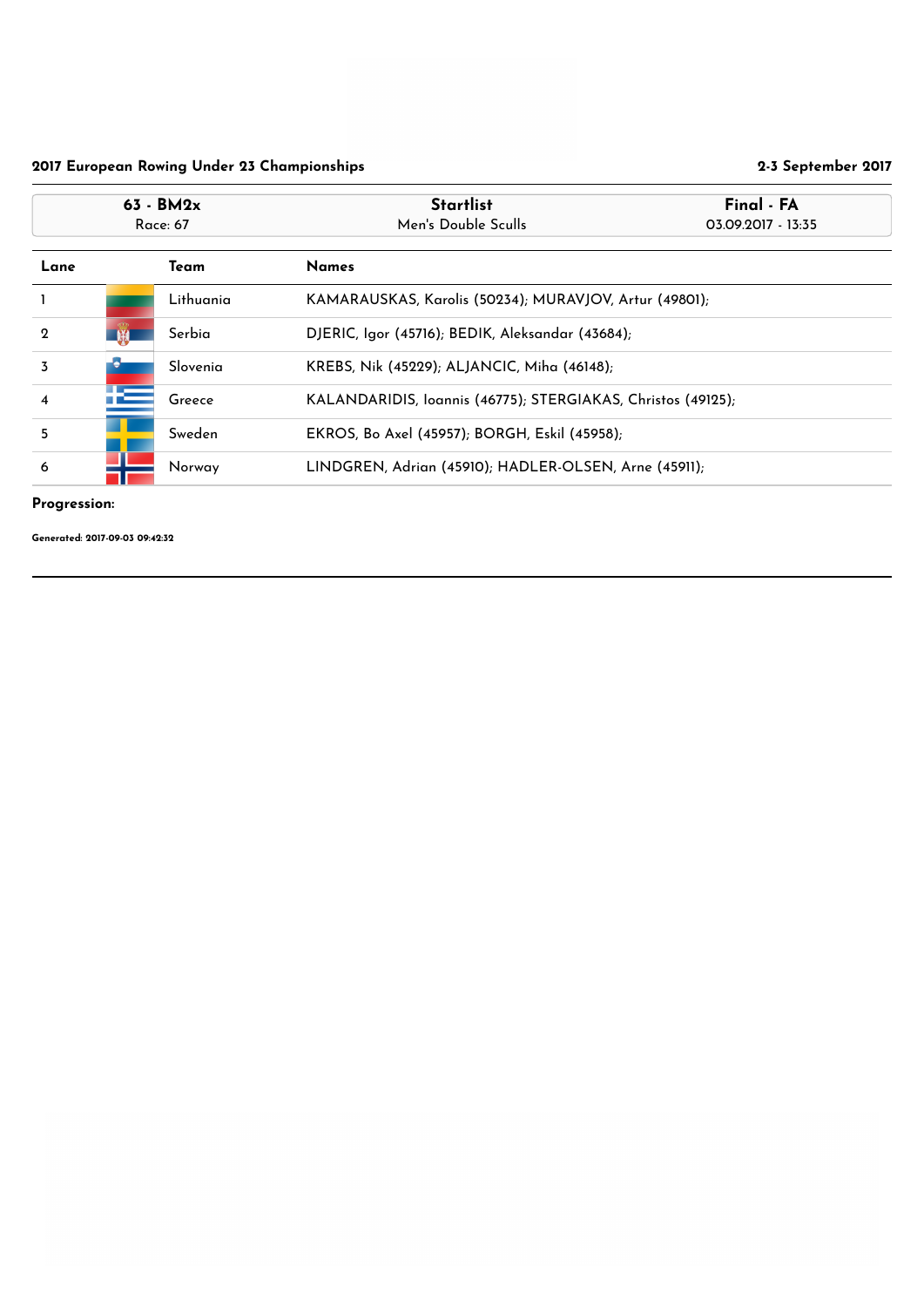## Progression:

| $63 - BM2x$<br>Race: 67      |   |           | <b>Startlist</b><br>Men's Double Sculls                      | Final - FA<br>03.09.2017 - 13:35 |
|------------------------------|---|-----------|--------------------------------------------------------------|----------------------------------|
| Lane<br><b>Names</b><br>Team |   |           |                                                              |                                  |
|                              |   | Lithuania | KAMARAUSKAS, Karolis (50234); MURAVJOV, Artur (49801);       |                                  |
| $\overline{2}$               | 第 | Serbia    | DJERIC, Igor (45716); BEDIK, Aleksandar (43684);             |                                  |
| $\overline{3}$               |   | Slovenia  | KREBS, Nik (45229); ALJANCIC, Miha (46148);                  |                                  |
| $\overline{\mathbf{4}}$      |   | Greece    | KALANDARIDIS, Ioannis (46775); STERGIAKAS, Christos (49125); |                                  |
| $5\overline{)}$              |   | Sweden    | EKROS, Bo Axel (45957); BORGH, Eskil (45958);                |                                  |
| 6                            |   | Norway    | LINDGREN, Adrian (45910); HADLER-OLSEN, Arne (45911);        |                                  |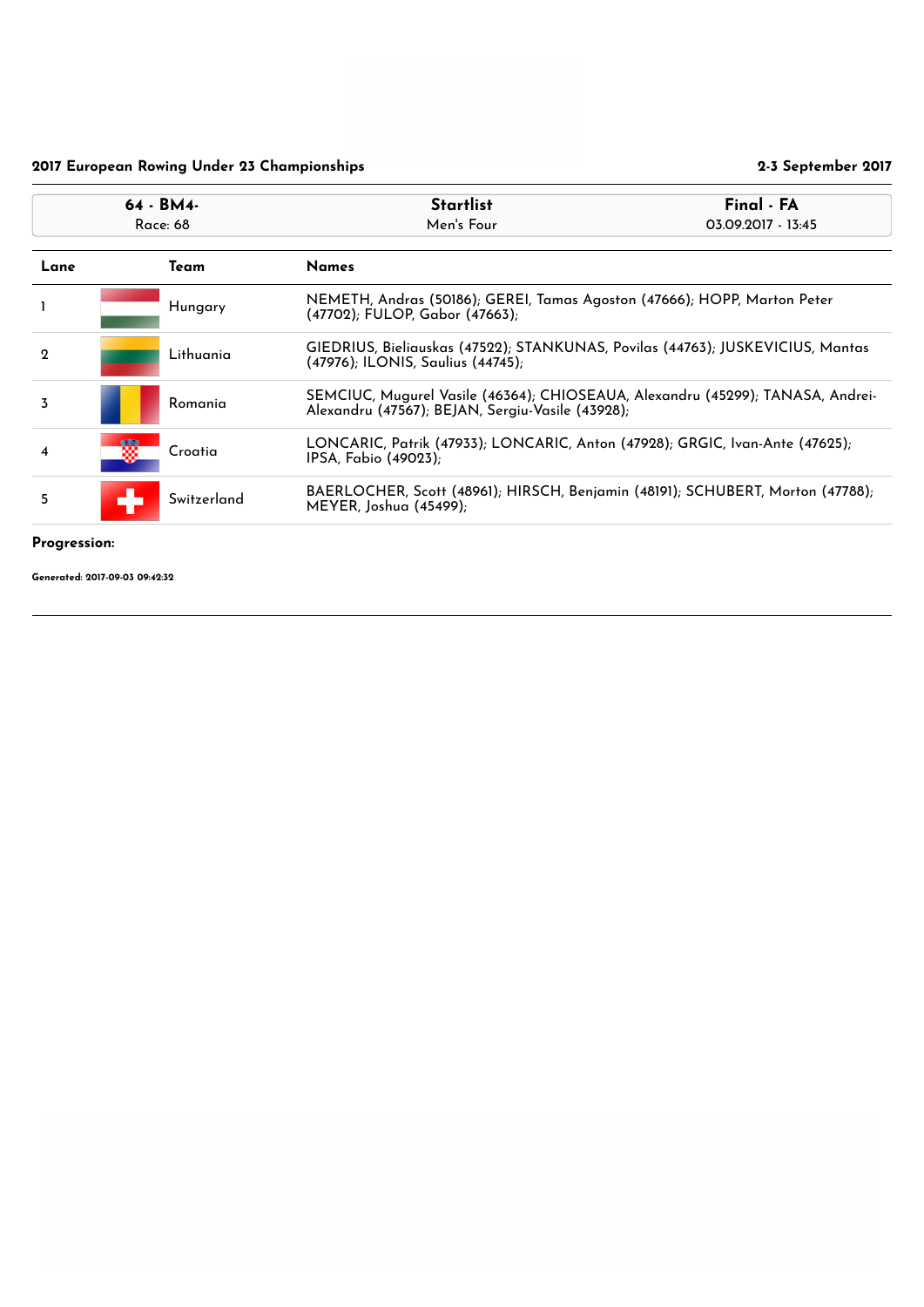#### Progression:

|             | 64 - BM4-<br>Race: 68 |             | <b>Startlist</b><br>Men's Four                                                                                                     | Final - FA<br>03.09.2017 - 13:45 |
|-------------|-----------------------|-------------|------------------------------------------------------------------------------------------------------------------------------------|----------------------------------|
| Lane        | Team<br><b>Names</b>  |             |                                                                                                                                    |                                  |
|             |                       | Hungary     | NEMETH, Andras (50186); GEREI, Tamas Agoston (47666); HOPP, Marton Peter<br>(47702); FULOP, Gabor (47663);                         |                                  |
| $\mathbf 2$ |                       | Lithuania   | GIEDRIUS, Bieliauskas (47522); STANKUNAS, Povilas (44763); JUSKEVICIUS, Mantas<br>(47976); ILONIS, Saulius (44745);                |                                  |
| 3           |                       | Romania     | SEMCIUC, Mugurel Vasile (46364); CHIOSEAUA, Alexandru (45299); TANASA, Andrei-<br>Alexandru (47567); BEJAN, Sergiu-Vasile (43928); |                                  |
| 4           |                       | Croatia     | LONCARIC, Patrik (47933); LONCARIC, Anton (47928); GRGIC, Ivan-Ante (47625);<br>IPSA, Fabio (49023);                               |                                  |
| 5           |                       | Switzerland | BAERLOCHER, Scott (48961); HIRSCH, Benjamin (48191); SCHUBERT, Morton (47788);<br>MEYER, Joshua (45499);                           |                                  |
|             |                       |             |                                                                                                                                    |                                  |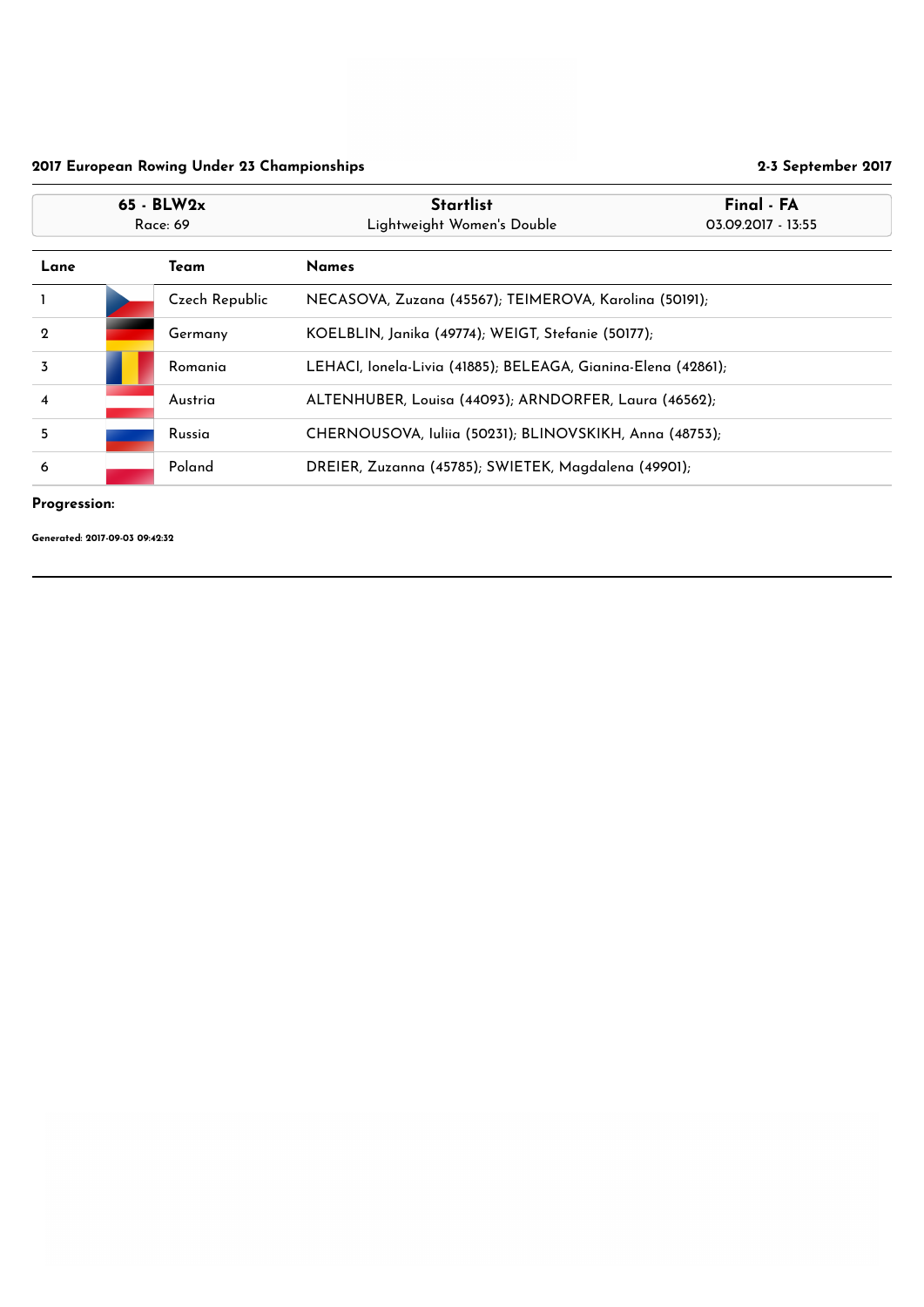## Progression:

|                         | $65 - BLW2x$<br>Race: 69 |                | <b>Startlist</b><br>Lightweight Women's Double                | Final - FA<br>03.09.2017 - 13:55 |
|-------------------------|--------------------------|----------------|---------------------------------------------------------------|----------------------------------|
| Lane                    |                          | Team           | <b>Names</b>                                                  |                                  |
|                         |                          | Czech Republic | NECASOVA, Zuzana (45567); TEIMEROVA, Karolina (50191);        |                                  |
| $\mathbf 2$             |                          | Germany        | KOELBLIN, Janika (49774); WEIGT, Stefanie (50177);            |                                  |
| $\overline{3}$          |                          | Romania        | LEHACI, lonela-Livia (41885); BELEAGA, Gianina-Elena (42861); |                                  |
| $\overline{\mathbf{4}}$ |                          | Austria        | ALTENHUBER, Louisa (44093); ARNDORFER, Laura (46562);         |                                  |
| 5                       |                          | Russia         | CHERNOUSOVA, Iuliia (50231); BLINOVSKIKH, Anna (48753);       |                                  |
| 6                       | Poland                   |                | DREIER, Zuzanna (45785); SWIETEK, Magdalena (49901);          |                                  |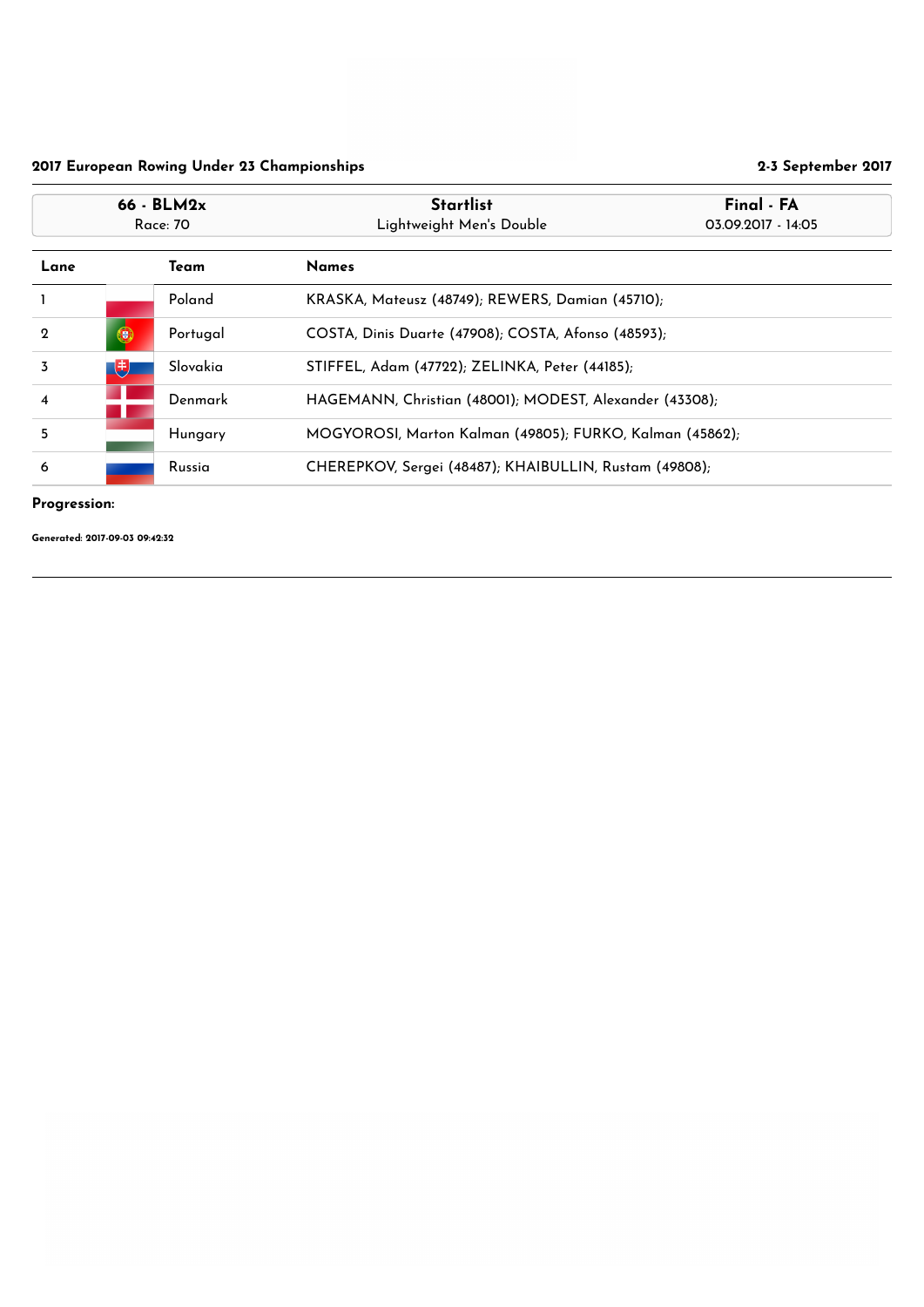## Progression:

|                         | 66 - BLM2x<br><b>Race: 70</b>                                      |          | <b>Startlist</b><br>Lightweight Men's Double             | Final - FA<br>03.09.2017 - 14:05 |
|-------------------------|--------------------------------------------------------------------|----------|----------------------------------------------------------|----------------------------------|
| Lane                    |                                                                    | Team     | <b>Names</b>                                             |                                  |
|                         |                                                                    | Poland   | KRASKA, Mateusz (48749); REWERS, Damian (45710);         |                                  |
| $\mathbf 2$             | 0                                                                  | Portugal | COSTA, Dinis Duarte (47908); COSTA, Afonso (48593);      |                                  |
| $\overline{3}$          | 电                                                                  | Slovakia | STIFFEL, Adam (47722); ZELINKA, Peter (44185);           |                                  |
| $\overline{\mathbf{4}}$ | HAGEMANN, Christian (48001); MODEST, Alexander (43308);<br>Denmark |          |                                                          |                                  |
| 5                       |                                                                    | Hungary  | MOGYOROSI, Marton Kalman (49805); FURKO, Kalman (45862); |                                  |
| 6                       | CHEREPKOV, Sergei (48487); KHAIBULLIN, Rustam (49808);<br>Russia   |          |                                                          |                                  |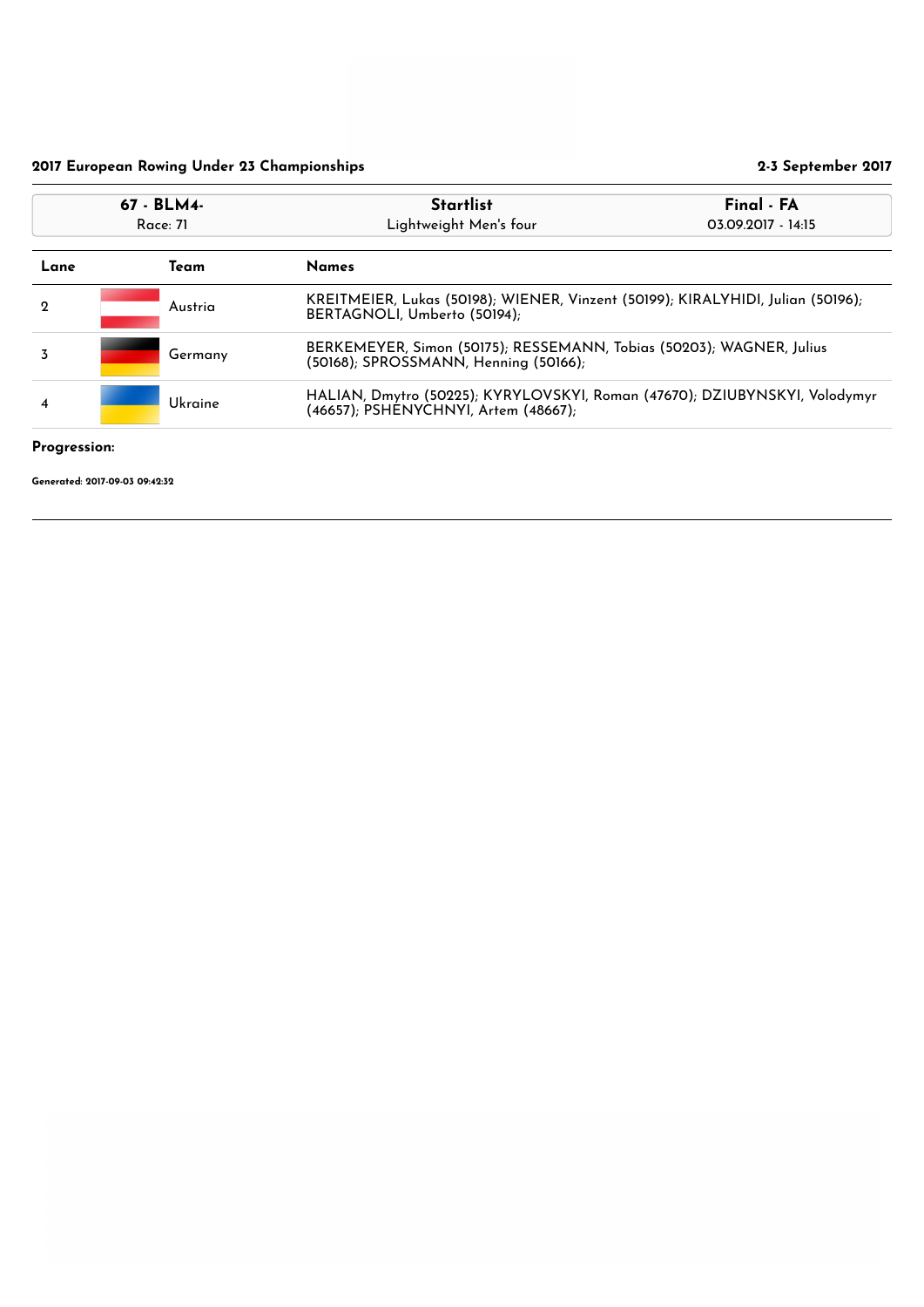# Progression:

| 67 - BLM4-<br>Race: 71 |                                                                                                                               | Final - FA<br><b>Startlist</b><br>Lightweight Men's four<br>03.09.2017 - 14:15                                  |  |
|------------------------|-------------------------------------------------------------------------------------------------------------------------------|-----------------------------------------------------------------------------------------------------------------|--|
| Team<br>Lane           |                                                                                                                               | <b>Names</b>                                                                                                    |  |
| $\mathbf 2$            | Austria                                                                                                                       | KREITMEIER, Lukas (50198); WIENER, Vinzent (50199); KIRALYHIDI, Julian (50196);<br>BERTAGNOLI, Umberto (50194); |  |
| 3                      | Germany                                                                                                                       | BERKEMEYER, Simon (50175); RESSEMANN, Tobias (50203); WAGNER, Julius<br>(50168); SPROSSMANN, Henning (50166);   |  |
| $\overline{4}$         | HALIAN, Dmytro (50225); KYRYLOVSKYI, Roman (47670); DZIUBYNSKYI, Volodymyr<br>Ukraine<br>(46657); PSHÉNYCHNYI, Artem (48667); |                                                                                                                 |  |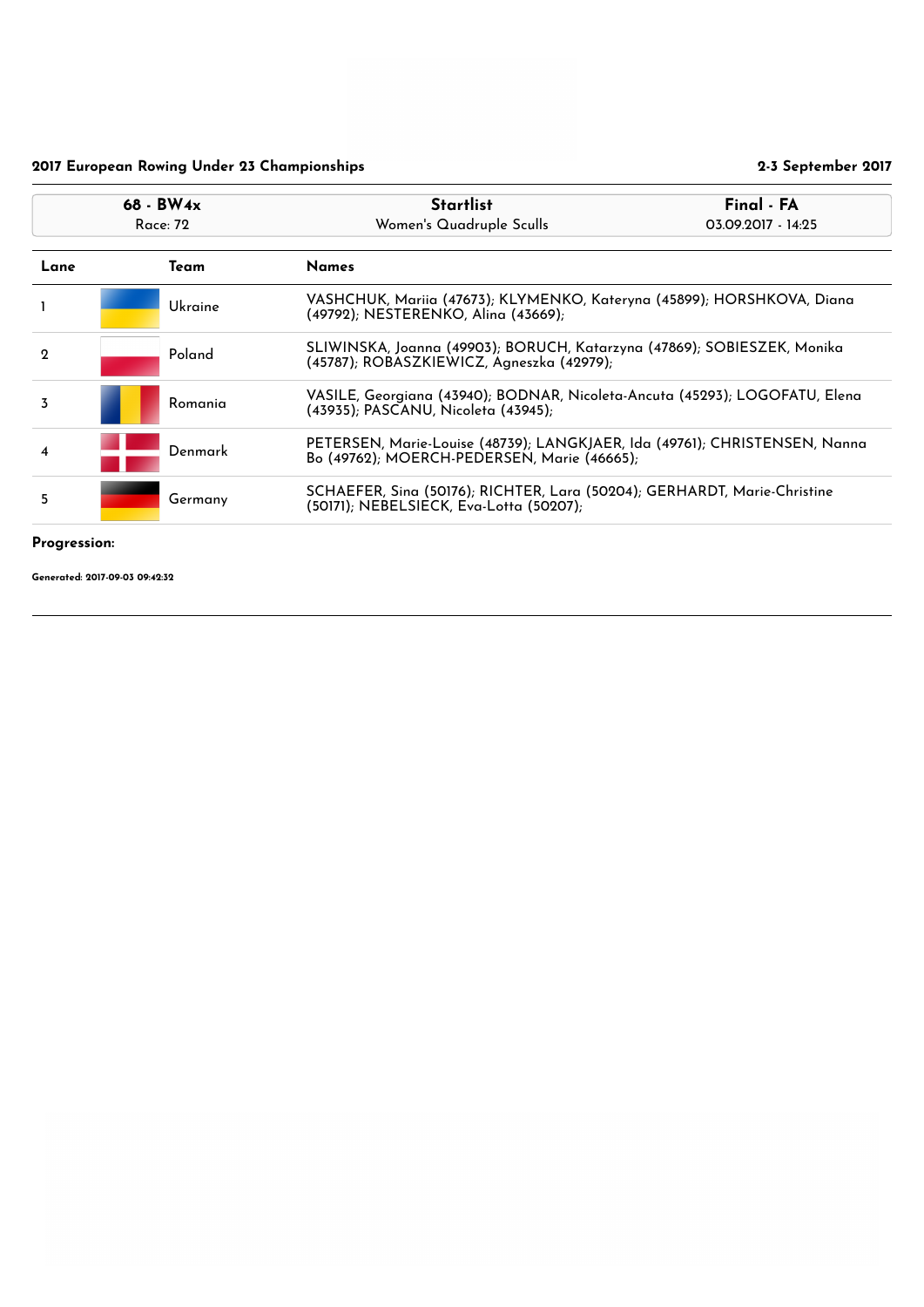Progression:

|                | $68 - BW4x$<br>Race: 72                                                                                                        |         | <b>Startlist</b><br>Women's Quadruple Sculls                                                                              | Final - FA<br>03.09.2017 - 14:25 |
|----------------|--------------------------------------------------------------------------------------------------------------------------------|---------|---------------------------------------------------------------------------------------------------------------------------|----------------------------------|
| Lane           |                                                                                                                                | Team    | <b>Names</b>                                                                                                              |                                  |
|                |                                                                                                                                | Ukraine | VASHCHUK, Mariia (47673); KLYMENKO, Kateryna (45899); HORSHKOVA, Diana<br>(49792); NESTERENKO, Alina (43669);             |                                  |
| $\mathbf 2$    |                                                                                                                                | Poland  | SLIWINSKA, Joanna (49903); BORUCH, Katarzyna (47869); SOBIESZEK, Monika<br>(45787); ROBASZKIEWICZ, Agneszka (42979);      |                                  |
| $\overline{3}$ |                                                                                                                                | Romania | VASILE, Georgiana (43940); BODNAR, Nicoleta-Ancuta (45293); LOGOFATU, Elena<br>(43935); PASCANU, Nicoleta (43945);        |                                  |
| 4              |                                                                                                                                | Denmark | PETERSEN, Marie-Louise (48739); LANGKJAER, Ida (49761); CHRISTENSEN, Nanna<br>Bo (49762); MOERCH-PEDERSEN, Marie (46665); |                                  |
| 5              | SCHAEFER, Sina (50176); RICHTER, Lara (50204); GERHARDT, Marie-Christine<br>Germany<br>(50171); NEBELSIECK, Eva-Lotta (50207); |         |                                                                                                                           |                                  |
| D.,            |                                                                                                                                |         |                                                                                                                           |                                  |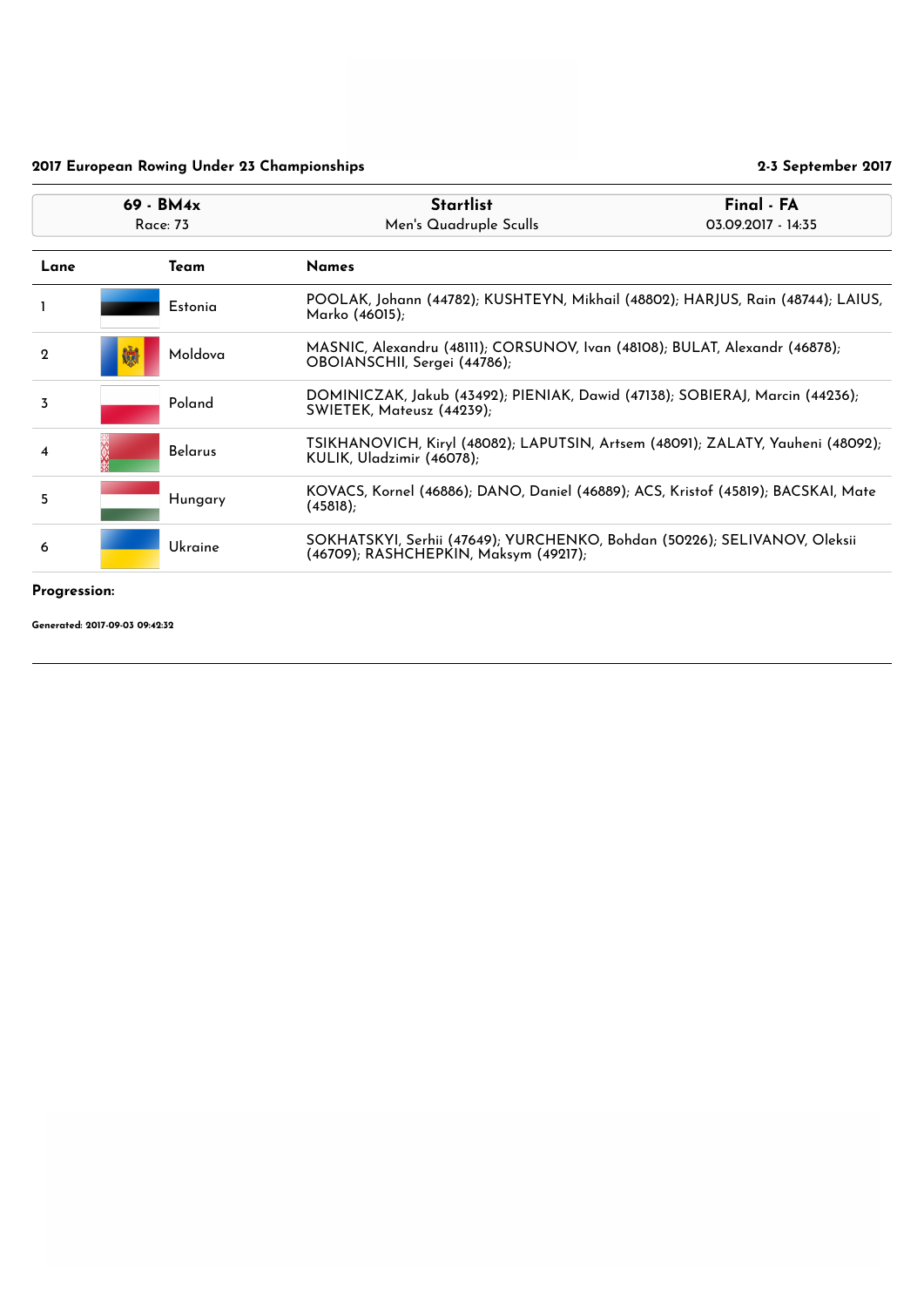## Progression:

| $69 - BM4x$<br><b>Race: 73</b> |                | <b>Startlist</b><br>Men's Quadruple Sculls                                                                         | Final - FA<br>03.09.2017 - 14:35                                                |  |
|--------------------------------|----------------|--------------------------------------------------------------------------------------------------------------------|---------------------------------------------------------------------------------|--|
|                                | Team           | <b>Names</b>                                                                                                       |                                                                                 |  |
|                                | Estonia        | Marko (46015);                                                                                                     | POOLAK, Johann (44782); KUSHTEYN, Mikhail (48802); HARJUS, Rain (48744); LAIUS, |  |
| 懒                              | Moldova        | MASNIC, Alexandru (48111); CORSUNOV, Ivan (48108); BULAT, Alexandr (46878);<br>OBOIANSCHII, Sergei (44786);        |                                                                                 |  |
|                                | Poland         | SWIETEK, Mateusz (44239);                                                                                          | DOMINICZAK, Jakub (43492); PIENIAK, Dawid (47138); SOBIERAJ, Marcin (44236);    |  |
|                                | <b>Belarus</b> | TSIKHANOVICH, Kiryl (48082); LAPUTSIN, Artsem (48091); ZALATY, Yauheni (48092);<br>KULIK, Uladzimir (46078);       |                                                                                 |  |
|                                | Hungary        | KOVACS, Kornel (46886); DANO, Daniel (46889); ACS, Kristof (45819); BACSKAI, Mate<br>(45818);                      |                                                                                 |  |
|                                | <b>Ukraine</b> | SOKHATSKYI, Serhii (47649); YURCHENKO, Bohdan (50226); SELIVANOV, Oleksii<br>(46709); RASHCHEPKIN, Maksym (49217); |                                                                                 |  |
|                                |                |                                                                                                                    |                                                                                 |  |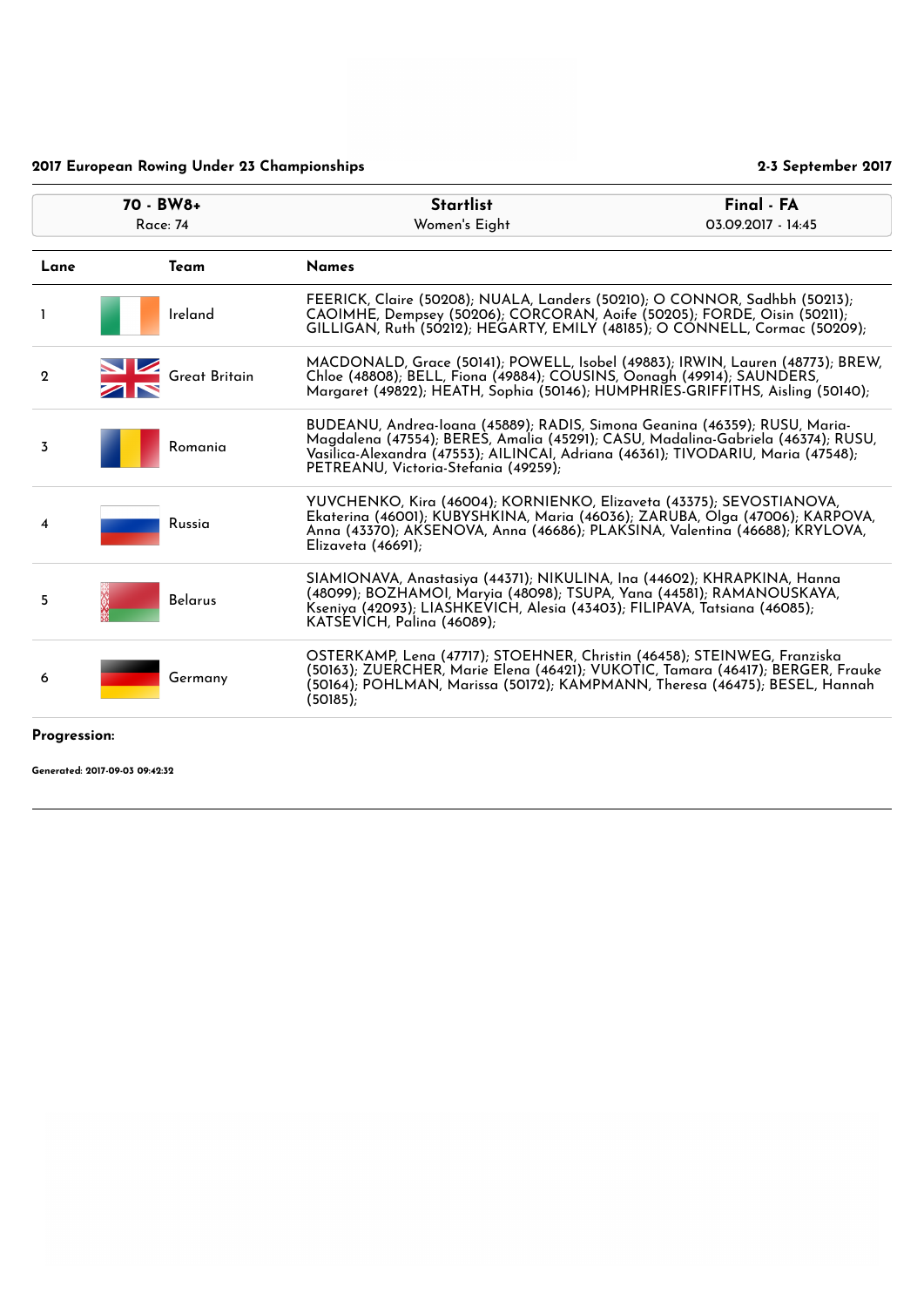| 70 - BW8+<br><b>Race: 74</b> |                      | <b>Startlist</b><br>Women's Eight                                                                                                                                                                                                                                                          | Final - FA<br>03.09.2017 - 14:45 |
|------------------------------|----------------------|--------------------------------------------------------------------------------------------------------------------------------------------------------------------------------------------------------------------------------------------------------------------------------------------|----------------------------------|
| Lane                         | <b>Team</b>          | <b>Names</b>                                                                                                                                                                                                                                                                               |                                  |
| Т.                           | Ireland              | FEERICK, Claire (50208); NUALA, Landers (50210); O CONNOR, Sadhbh (50213);<br>CAOIMHE, Dempsey (50206); CORCORAN, Aoife (50205); FORDE, Oisin (50211);<br>GILLIGAN, Ruth (50212); HEGARTY, EMILY (48185); O CONNELL, Cormac (50209);                                                       |                                  |
| $\mathbf 2$                  | <b>Great Britain</b> | MACDONALD, Grace (50141); POWELL, Isobel (49883); IRWIN, Lauren (48773); BREW,<br>Chloe (48808); BELL, Fiona (49884); COUSINS, Oonagh (49914); SAUNDERS,<br>Margaret (49822); HEATH, Sophia (50146); HUMPHRIES-GRIFFITHS, Aisling (50140);                                                 |                                  |
| $\overline{3}$               | Romania              | BUDEANU, Andrea-Ioana (45889); RADIS, Simona Geanina (46359); RUSU, Maria-<br>Magdalena (47554); BERES, Amalia (45291); CASU, Madalina-Gabriela (46374); RUSU,<br>Vasilica-Alexandra (47553); AILINCAI, Adriana (46361); TIVODARIU, Maria (47548);<br>PETREANU, Victoria-Stefania (49259); |                                  |
| 4                            | Russia               | YUVCHENKO, Kira (46004); KORNIENKO, Elizaveta (43375); SEVOSTIANOVA,<br>Ekaterina (46001); KUBYSHKINA, Maria (46036); ZARUBA, Olga (47006); KARPOVA,<br>Anna (43370); AKSENOVA, Anna (46686); PLAKSINA, Valentina (46688); KRYLOVA,<br>Elizaveta $(46691)$ ;                               |                                  |
| 5                            | <b>Belarus</b>       | SIAMIONAVA, Anastasiya (44371); NIKULINA, Ina (44602); KHRAPKINA, Hanna<br>(48099); BOZHAMOI, Maryia (48098); TSUPA, Yana (44581); RAMANOUSKAYA,<br>Kseniya (42093); LIASHKEVICH, Alesia (43403); FILIPAVA, Tatsiana (46085);<br>KATSEVICH, Palina (46089);                                |                                  |
| 6                            | Germany              | OSTERKAMP, Lena (47717); STOEHNER, Christin (46458); STEINWEG, Franziska<br>(50163); ZUERCHER, Marie Elena (46421); VUKOTIC, Tamara (46417); BERGER, Frauke<br>(50164); POHLMAN, Marissa (50172); KAMPMANN, Theresa (46475); BESEL, Hannah<br>(50185);                                     |                                  |
| Progression:                 |                      |                                                                                                                                                                                                                                                                                            |                                  |